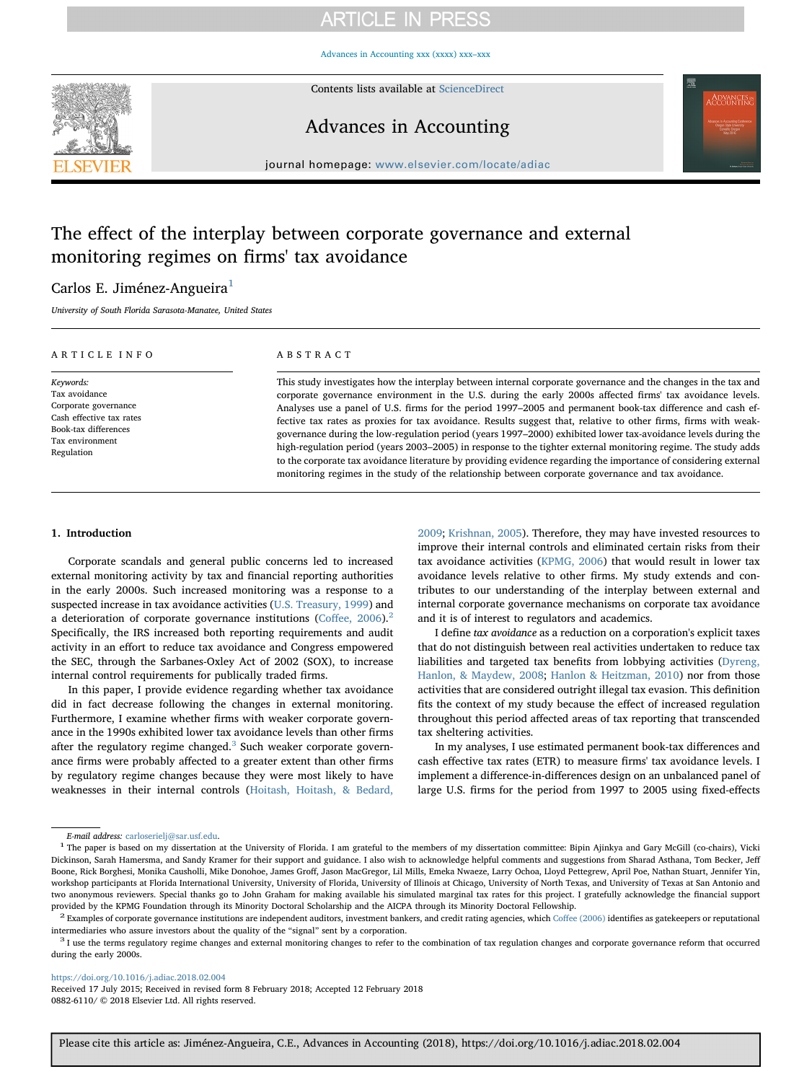[Advances in Accounting xxx \(xxxx\) xxx–xxx](https://doi.org/10.1016/j.adiac.2018.02.004)



Contents lists available at [ScienceDirect](http://www.sciencedirect.com/science/journal/08826110)

# Advances in Accounting



journal homepage: [www.elsevier.com/locate/adiac](https://www.elsevier.com/locate/adiac)

# The effect of the interplay between corporate governance and external monitoring regimes on firms' tax avoidance

# Carlos E. Jiménez-Angueira<sup>[1](#page-0-0)</sup>

University of South Florida Sarasota-Manatee, United States

| ARTICLE INFO                                                                                                                            | ABSTRACT                                                                                                                                                                                                                                                                                                                                                                                                                                                                                                                                                                                                                                                                                                                                                                                                            |
|-----------------------------------------------------------------------------------------------------------------------------------------|---------------------------------------------------------------------------------------------------------------------------------------------------------------------------------------------------------------------------------------------------------------------------------------------------------------------------------------------------------------------------------------------------------------------------------------------------------------------------------------------------------------------------------------------------------------------------------------------------------------------------------------------------------------------------------------------------------------------------------------------------------------------------------------------------------------------|
| Keywords:<br>Tax avoidance<br>Corporate governance<br>Cash effective tax rates<br>Book-tax differences<br>Tax environment<br>Regulation | This study investigates how the interplay between internal corporate governance and the changes in the tax and<br>corporate governance environment in the U.S. during the early 2000s affected firms' tax avoidance levels.<br>Analyses use a panel of U.S. firms for the period 1997–2005 and permanent book-tax difference and cash ef-<br>fective tax rates as proxies for tax avoidance. Results suggest that, relative to other firms, firms with weak-<br>governance during the low-regulation period (years 1997–2000) exhibited lower tax-avoidance levels during the<br>high-regulation period (years 2003–2005) in response to the tighter external monitoring regime. The study adds<br>to the corporate tax avoidance literature by providing evidence regarding the importance of considering external |
|                                                                                                                                         | monitoring regimes in the study of the relationship between corporate governance and tax avoidance.                                                                                                                                                                                                                                                                                                                                                                                                                                                                                                                                                                                                                                                                                                                 |

### 1. Introduction

Corporate scandals and general public concerns led to increased external monitoring activity by tax and financial reporting authorities in the early 2000s. Such increased monitoring was a response to a suspected increase in tax avoidance activities [\(U.S. Treasury, 1999\)](#page-17-0) and a deterioration of corporate governance institutions (Coff[ee, 2006](#page-16-0)).<sup>2</sup> Specifically, the IRS increased both reporting requirements and audit activity in an effort to reduce tax avoidance and Congress empowered the SEC, through the Sarbanes-Oxley Act of 2002 (SOX), to increase internal control requirements for publically traded firms.

In this paper, I provide evidence regarding whether tax avoidance did in fact decrease following the changes in external monitoring. Furthermore, I examine whether firms with weaker corporate governance in the 1990s exhibited lower tax avoidance levels than other firms after the regulatory regime changed. $3$  Such weaker corporate governance firms were probably affected to a greater extent than other firms by regulatory regime changes because they were most likely to have weaknesses in their internal controls [\(Hoitash, Hoitash, & Bedard,](#page-17-1)

[2009;](#page-17-1) [Krishnan, 2005](#page-17-2)). Therefore, they may have invested resources to improve their internal controls and eliminated certain risks from their tax avoidance activities [\(KPMG, 2006\)](#page-17-3) that would result in lower tax avoidance levels relative to other firms. My study extends and contributes to our understanding of the interplay between external and internal corporate governance mechanisms on corporate tax avoidance and it is of interest to regulators and academics.

I define tax avoidance as a reduction on a corporation's explicit taxes that do not distinguish between real activities undertaken to reduce tax liabilities and targeted tax benefits from lobbying activities ([Dyreng,](#page-17-4) [Hanlon, & Maydew, 2008](#page-17-4); [Hanlon & Heitzman, 2010](#page-17-5)) nor from those activities that are considered outright illegal tax evasion. This definition fits the context of my study because the effect of increased regulation throughout this period affected areas of tax reporting that transcended tax sheltering activities.

In my analyses, I use estimated permanent book-tax differences and cash effective tax rates (ETR) to measure firms' tax avoidance levels. I implement a difference-in-differences design on an unbalanced panel of large U.S. firms for the period from 1997 to 2005 using fixed-effects

<https://doi.org/10.1016/j.adiac.2018.02.004>

Received 17 July 2015; Received in revised form 8 February 2018; Accepted 12 February 2018 0882-6110/ © 2018 Elsevier Ltd. All rights reserved.

E-mail address: [carloserielj@sar.usf.edu.](mailto:carloserielj@sar.usf.edu)

<span id="page-0-0"></span><sup>&</sup>lt;sup>1</sup> The paper is based on my dissertation at the University of Florida. I am grateful to the members of my dissertation committee: Bipin Ajinkya and Gary McGill (co-chairs), Vicki Dickinson, Sarah Hamersma, and Sandy Kramer for their support and guidance. I also wish to acknowledge helpful comments and suggestions from Sharad Asthana, Tom Becker, Jeff Boone, Rick Borghesi, Monika Causholli, Mike Donohoe, James Groff, Jason MacGregor, Lil Mills, Emeka Nwaeze, Larry Ochoa, Lloyd Pettegrew, April Poe, Nathan Stuart, Jennifer Yin, workshop participants at Florida International University, University of Florida, University of Illinois at Chicago, University of North Texas, and University of Texas at San Antonio and two anonymous reviewers. Special thanks go to John Graham for making available his simulated marginal tax rates for this project. I gratefully acknowledge the financial support provided by the KPMG Foundation through its Minority Doctoral Scholarship and the AICPA through its Minority Doctoral Fellowship.

<span id="page-0-1"></span> $^2$  Examples of corporate governance institutions are independent auditors, investment bankers, and credit rating agencies, which Coff[ee \(2006\)](#page-16-0) identifies as gatekeepers or reputational

<span id="page-0-2"></span>intermediaries who assure investors about the quality of the "signal" sent by a corporation.<br> $3$ I use the terms regulatory regime changes and external monitoring changes to refer to the combination of tax regulation chang during the early 2000s.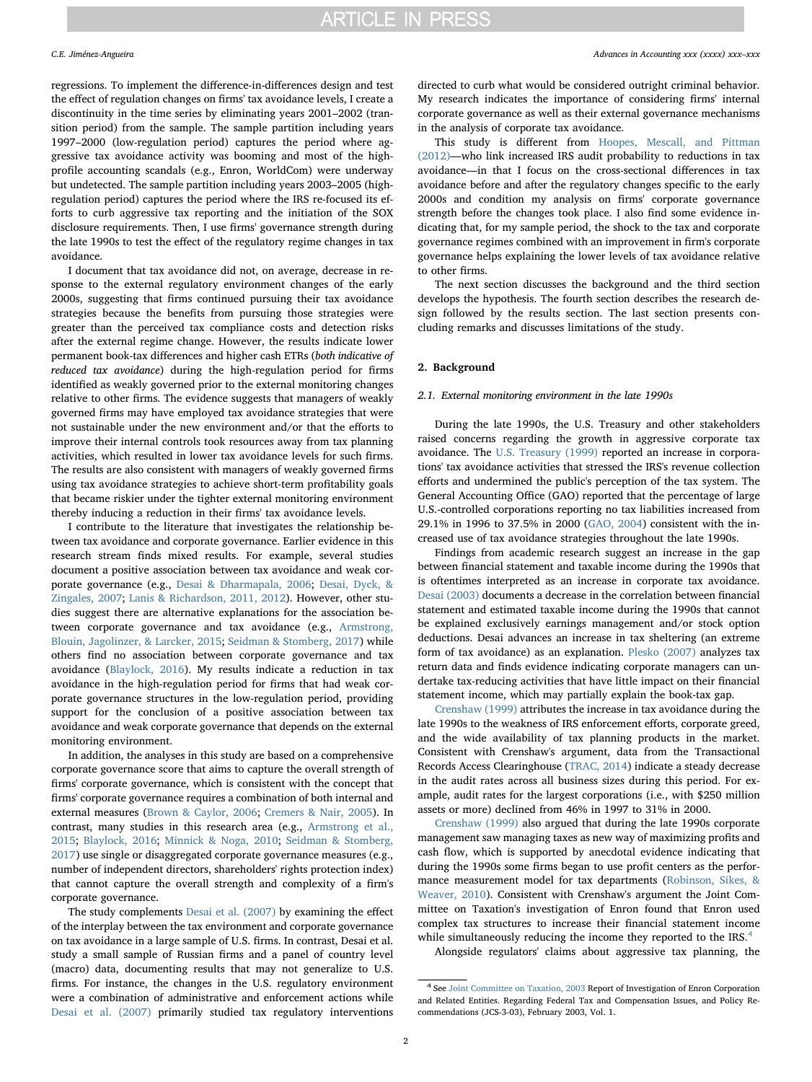regressions. To implement the difference-in-differences design and test the effect of regulation changes on firms' tax avoidance levels, I create a discontinuity in the time series by eliminating years 2001–2002 (transition period) from the sample. The sample partition including years 1997–2000 (low-regulation period) captures the period where aggressive tax avoidance activity was booming and most of the highprofile accounting scandals (e.g., Enron, WorldCom) were underway but undetected. The sample partition including years 2003–2005 (highregulation period) captures the period where the IRS re-focused its efforts to curb aggressive tax reporting and the initiation of the SOX disclosure requirements. Then, I use firms' governance strength during the late 1990s to test the effect of the regulatory regime changes in tax avoidance.

I document that tax avoidance did not, on average, decrease in response to the external regulatory environment changes of the early 2000s, suggesting that firms continued pursuing their tax avoidance strategies because the benefits from pursuing those strategies were greater than the perceived tax compliance costs and detection risks after the external regime change. However, the results indicate lower permanent book-tax differences and higher cash ETRs (both indicative of reduced tax avoidance) during the high-regulation period for firms identified as weakly governed prior to the external monitoring changes relative to other firms. The evidence suggests that managers of weakly governed firms may have employed tax avoidance strategies that were not sustainable under the new environment and/or that the efforts to improve their internal controls took resources away from tax planning activities, which resulted in lower tax avoidance levels for such firms. The results are also consistent with managers of weakly governed firms using tax avoidance strategies to achieve short-term profitability goals that became riskier under the tighter external monitoring environment thereby inducing a reduction in their firms' tax avoidance levels.

I contribute to the literature that investigates the relationship between tax avoidance and corporate governance. Earlier evidence in this research stream finds mixed results. For example, several studies document a positive association between tax avoidance and weak corporate governance (e.g., [Desai & Dharmapala, 2006](#page-16-1); [Desai, Dyck, &](#page-16-2) [Zingales, 2007;](#page-16-2) [Lanis & Richardson, 2011, 2012\)](#page-17-6). However, other studies suggest there are alternative explanations for the association between corporate governance and tax avoidance (e.g., [Armstrong,](#page-16-3) [Blouin, Jagolinzer, & Larcker, 2015;](#page-16-3) [Seidman & Stomberg, 2017\)](#page-17-7) while others find no association between corporate governance and tax avoidance ([Blaylock, 2016](#page-16-4)). My results indicate a reduction in tax avoidance in the high-regulation period for firms that had weak corporate governance structures in the low-regulation period, providing support for the conclusion of a positive association between tax avoidance and weak corporate governance that depends on the external monitoring environment.

In addition, the analyses in this study are based on a comprehensive corporate governance score that aims to capture the overall strength of firms' corporate governance, which is consistent with the concept that firms' corporate governance requires a combination of both internal and external measures ([Brown & Caylor, 2006;](#page-16-5) [Cremers & Nair, 2005](#page-16-6)). In contrast, many studies in this research area (e.g., [Armstrong et al.,](#page-16-3) [2015;](#page-16-3) [Blaylock, 2016](#page-16-4); [Minnick & Noga, 2010](#page-17-8); [Seidman & Stomberg,](#page-17-7) [2017\)](#page-17-7) use single or disaggregated corporate governance measures (e.g., number of independent directors, shareholders' rights protection index) that cannot capture the overall strength and complexity of a firm's corporate governance.

The study complements [Desai et al. \(2007\)](#page-16-2) by examining the effect of the interplay between the tax environment and corporate governance on tax avoidance in a large sample of U.S. firms. In contrast, Desai et al. study a small sample of Russian firms and a panel of country level (macro) data, documenting results that may not generalize to U.S. firms. For instance, the changes in the U.S. regulatory environment were a combination of administrative and enforcement actions while [Desai et al. \(2007\)](#page-16-2) primarily studied tax regulatory interventions

directed to curb what would be considered outright criminal behavior. My research indicates the importance of considering firms' internal corporate governance as well as their external governance mechanisms in the analysis of corporate tax avoidance.

This study is different from [Hoopes, Mescall, and Pittman](#page-17-9) [\(2012\)](#page-17-9)—who link increased IRS audit probability to reductions in tax avoidance—in that I focus on the cross-sectional differences in tax avoidance before and after the regulatory changes specific to the early 2000s and condition my analysis on firms' corporate governance strength before the changes took place. I also find some evidence indicating that, for my sample period, the shock to the tax and corporate governance regimes combined with an improvement in firm's corporate governance helps explaining the lower levels of tax avoidance relative to other firms.

The next section discusses the background and the third section develops the hypothesis. The fourth section describes the research design followed by the results section. The last section presents concluding remarks and discusses limitations of the study.

## 2. Background

#### 2.1. External monitoring environment in the late 1990s

During the late 1990s, the U.S. Treasury and other stakeholders raised concerns regarding the growth in aggressive corporate tax avoidance. The [U.S. Treasury \(1999\)](#page-17-0) reported an increase in corporations' tax avoidance activities that stressed the IRS's revenue collection efforts and undermined the public's perception of the tax system. The General Accounting Office (GAO) reported that the percentage of large U.S.-controlled corporations reporting no tax liabilities increased from 29.1% in 1996 to 37.5% in 2000 ([GAO, 2004](#page-17-10)) consistent with the increased use of tax avoidance strategies throughout the late 1990s.

Findings from academic research suggest an increase in the gap between financial statement and taxable income during the 1990s that is oftentimes interpreted as an increase in corporate tax avoidance. [Desai \(2003\)](#page-16-7) documents a decrease in the correlation between financial statement and estimated taxable income during the 1990s that cannot be explained exclusively earnings management and/or stock option deductions. Desai advances an increase in tax sheltering (an extreme form of tax avoidance) as an explanation. [Plesko \(2007\)](#page-17-11) analyzes tax return data and finds evidence indicating corporate managers can undertake tax-reducing activities that have little impact on their financial statement income, which may partially explain the book-tax gap.

[Crenshaw \(1999\)](#page-16-8) attributes the increase in tax avoidance during the late 1990s to the weakness of IRS enforcement efforts, corporate greed, and the wide availability of tax planning products in the market. Consistent with Crenshaw's argument, data from the Transactional Records Access Clearinghouse ([TRAC, 2014](#page-17-12)) indicate a steady decrease in the audit rates across all business sizes during this period. For example, audit rates for the largest corporations (i.e., with \$250 million assets or more) declined from 46% in 1997 to 31% in 2000.

[Crenshaw \(1999\)](#page-16-8) also argued that during the late 1990s corporate management saw managing taxes as new way of maximizing profits and cash flow, which is supported by anecdotal evidence indicating that during the 1990s some firms began to use profit centers as the performance measurement model for tax departments [\(Robinson, Sikes, &](#page-17-13) [Weaver, 2010\)](#page-17-13). Consistent with Crenshaw's argument the Joint Committee on Taxation's investigation of Enron found that Enron used complex tax structures to increase their financial statement income while simultaneously reducing the income they reported to the IRS.<sup>[4](#page-1-0)</sup>

Alongside regulators' claims about aggressive tax planning, the

<span id="page-1-0"></span><sup>4</sup> See [Joint Committee on Taxation, 2003](#page-17-14) Report of Investigation of Enron Corporation and Related Entities. Regarding Federal Tax and Compensation Issues, and Policy Recommendations (JCS-3-03), February 2003, Vol. 1.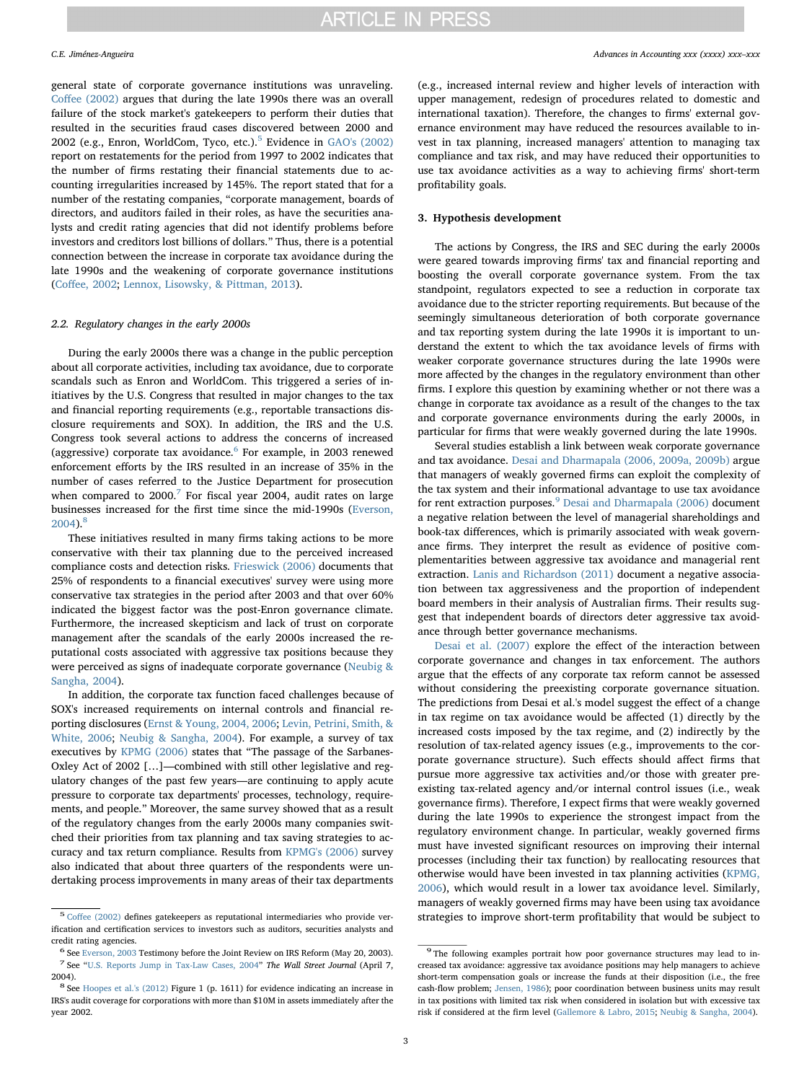general state of corporate governance institutions was unraveling. Coff[ee \(2002\)](#page-16-9) argues that during the late 1990s there was an overall failure of the stock market's gatekeepers to perform their duties that resulted in the securities fraud cases discovered between 2000 and 2002 (e.g., Enron, WorldCom, Tyco, etc.).[5](#page-2-0) Evidence in [GAO's \(2002\)](#page-17-15) report on restatements for the period from 1997 to 2002 indicates that the number of firms restating their financial statements due to accounting irregularities increased by 145%. The report stated that for a number of the restating companies, "corporate management, boards of directors, and auditors failed in their roles, as have the securities analysts and credit rating agencies that did not identify problems before investors and creditors lost billions of dollars." Thus, there is a potential connection between the increase in corporate tax avoidance during the late 1990s and the weakening of corporate governance institutions (Coff[ee, 2002;](#page-16-9) [Lennox, Lisowsky, & Pittman, 2013\)](#page-17-16).

### 2.2. Regulatory changes in the early 2000s

During the early 2000s there was a change in the public perception about all corporate activities, including tax avoidance, due to corporate scandals such as Enron and WorldCom. This triggered a series of initiatives by the U.S. Congress that resulted in major changes to the tax and financial reporting requirements (e.g., reportable transactions disclosure requirements and SOX). In addition, the IRS and the U.S. Congress took several actions to address the concerns of increased (aggressive) corporate tax avoidance.<sup>[6](#page-2-1)</sup> For example, in 2003 renewed enforcement efforts by the IRS resulted in an increase of 35% in the number of cases referred to the Justice Department for prosecution when compared to 2000.<sup>[7](#page-2-2)</sup> For fiscal year 2004, audit rates on large businesses increased for the first time since the mid-1990s ([Everson,](#page-17-17)  $2004$ .<sup>[8](#page-2-3)</sup>

These initiatives resulted in many firms taking actions to be more conservative with their tax planning due to the perceived increased compliance costs and detection risks. [Frieswick \(2006\)](#page-17-18) documents that 25% of respondents to a financial executives' survey were using more conservative tax strategies in the period after 2003 and that over 60% indicated the biggest factor was the post-Enron governance climate. Furthermore, the increased skepticism and lack of trust on corporate management after the scandals of the early 2000s increased the reputational costs associated with aggressive tax positions because they were perceived as signs of inadequate corporate governance ([Neubig &](#page-17-19) [Sangha, 2004](#page-17-19)).

In addition, the corporate tax function faced challenges because of SOX's increased requirements on internal controls and financial reporting disclosures ([Ernst & Young, 2004, 2006;](#page-17-20) [Levin, Petrini, Smith, &](#page-17-21) [White, 2006](#page-17-21); [Neubig & Sangha, 2004\)](#page-17-19). For example, a survey of tax executives by [KPMG \(2006\)](#page-17-3) states that "The passage of the Sarbanes-Oxley Act of 2002 […]—combined with still other legislative and regulatory changes of the past few years—are continuing to apply acute pressure to corporate tax departments' processes, technology, requirements, and people." Moreover, the same survey showed that as a result of the regulatory changes from the early 2000s many companies switched their priorities from tax planning and tax saving strategies to accuracy and tax return compliance. Results from [KPMG's \(2006\)](#page-17-3) survey also indicated that about three quarters of the respondents were undertaking process improvements in many areas of their tax departments

(e.g., increased internal review and higher levels of interaction with upper management, redesign of procedures related to domestic and international taxation). Therefore, the changes to firms' external governance environment may have reduced the resources available to invest in tax planning, increased managers' attention to managing tax compliance and tax risk, and may have reduced their opportunities to use tax avoidance activities as a way to achieving firms' short-term profitability goals.

#### 3. Hypothesis development

The actions by Congress, the IRS and SEC during the early 2000s were geared towards improving firms' tax and financial reporting and boosting the overall corporate governance system. From the tax standpoint, regulators expected to see a reduction in corporate tax avoidance due to the stricter reporting requirements. But because of the seemingly simultaneous deterioration of both corporate governance and tax reporting system during the late 1990s it is important to understand the extent to which the tax avoidance levels of firms with weaker corporate governance structures during the late 1990s were more affected by the changes in the regulatory environment than other firms. I explore this question by examining whether or not there was a change in corporate tax avoidance as a result of the changes to the tax and corporate governance environments during the early 2000s, in particular for firms that were weakly governed during the late 1990s.

Several studies establish a link between weak corporate governance and tax avoidance. [Desai and Dharmapala \(2006, 2009a, 2009b\)](#page-16-1) argue that managers of weakly governed firms can exploit the complexity of the tax system and their informational advantage to use tax avoidance for rent extraction purposes.<sup>[9](#page-2-4)</sup> [Desai and Dharmapala \(2006\)](#page-16-1) document a negative relation between the level of managerial shareholdings and book-tax differences, which is primarily associated with weak governance firms. They interpret the result as evidence of positive complementarities between aggressive tax avoidance and managerial rent extraction. [Lanis and Richardson \(2011\)](#page-17-6) document a negative association between tax aggressiveness and the proportion of independent board members in their analysis of Australian firms. Their results suggest that independent boards of directors deter aggressive tax avoidance through better governance mechanisms.

[Desai et al. \(2007\)](#page-16-2) explore the effect of the interaction between corporate governance and changes in tax enforcement. The authors argue that the effects of any corporate tax reform cannot be assessed without considering the preexisting corporate governance situation. The predictions from Desai et al.'s model suggest the effect of a change in tax regime on tax avoidance would be affected (1) directly by the increased costs imposed by the tax regime, and (2) indirectly by the resolution of tax-related agency issues (e.g., improvements to the corporate governance structure). Such effects should affect firms that pursue more aggressive tax activities and/or those with greater preexisting tax-related agency and/or internal control issues (i.e., weak governance firms). Therefore, I expect firms that were weakly governed during the late 1990s to experience the strongest impact from the regulatory environment change. In particular, weakly governed firms must have invested significant resources on improving their internal processes (including their tax function) by reallocating resources that otherwise would have been invested in tax planning activities [\(KPMG,](#page-17-3) [2006\)](#page-17-3), which would result in a lower tax avoidance level. Similarly, managers of weakly governed firms may have been using tax avoidance  $5$  Coff[ee \(2002\)](#page-16-9) defines gatekeepers as reputational intermediaries who provide ver-<br>strategies to improve short-term profitability that would be subject to

<span id="page-2-0"></span>ification and certification services to investors such as auditors, securities analysts and

<span id="page-2-2"></span><span id="page-2-1"></span><sup>%</sup> Gee [Everson, 2003](#page-17-22) Testimony before the Joint Review on IRS Reform (May 20, 2003). The See "[U.S. Reports Jump in Tax-Law Cases, 2004](#page-17-23)" The Wall Street Journal (April 7, The Wall Street Journal (April 7, The Wall Street Jo 2004).<br><sup>8</sup> See [Hoopes et al.'s \(2012\)](#page-17-9) Figure 1 (p. 1611) for evidence indicating an increase in

<span id="page-2-3"></span>IRS's audit coverage for corporations with more than \$10M in assets immediately after the year 2002.

<span id="page-2-4"></span><sup>&</sup>lt;sup>9</sup> The following examples portrait how poor governance structures may lead to increased tax avoidance: aggressive tax avoidance positions may help managers to achieve short-term compensation goals or increase the funds at their disposition (i.e., the free cash-flow problem; [Jensen, 1986](#page-17-24)); poor coordination between business units may result in tax positions with limited tax risk when considered in isolation but with excessive tax risk if considered at the firm level [\(Gallemore & Labro, 2015;](#page-17-25) [Neubig & Sangha, 2004](#page-17-19)).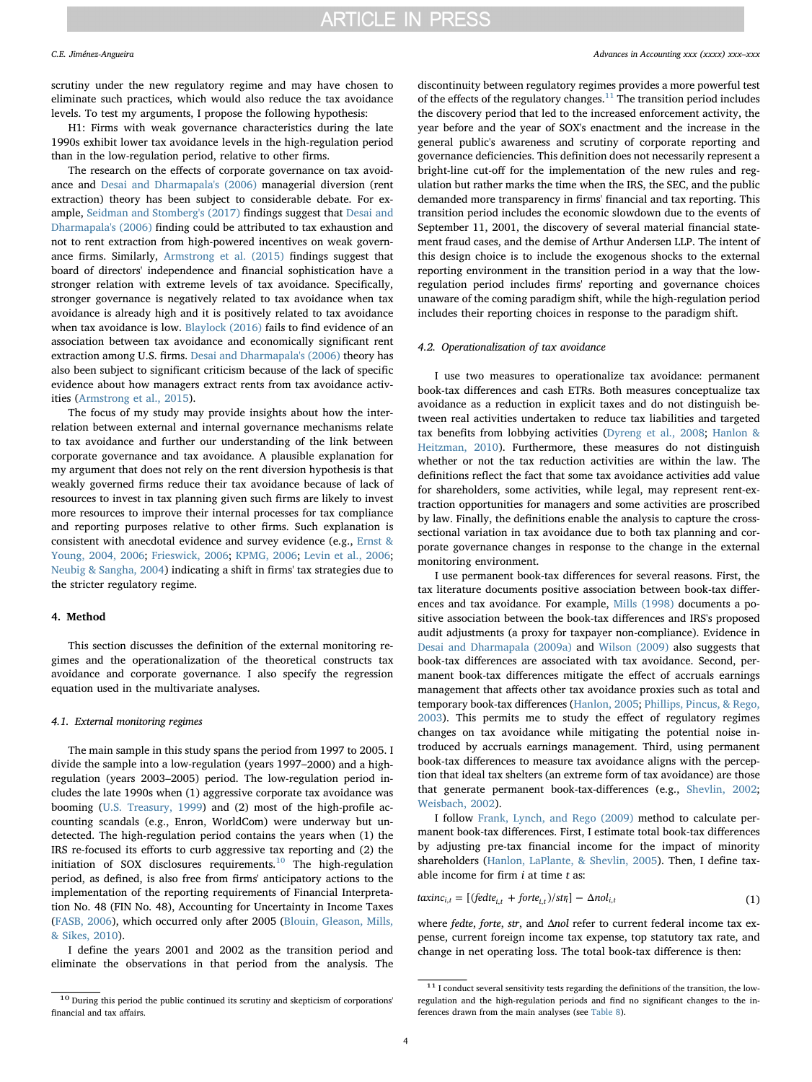scrutiny under the new regulatory regime and may have chosen to eliminate such practices, which would also reduce the tax avoidance levels. To test my arguments, I propose the following hypothesis:

H1: Firms with weak governance characteristics during the late 1990s exhibit lower tax avoidance levels in the high-regulation period than in the low-regulation period, relative to other firms.

The research on the effects of corporate governance on tax avoidance and [Desai and Dharmapala's \(2006\)](#page-16-1) managerial diversion (rent extraction) theory has been subject to considerable debate. For example, [Seidman and Stomberg's \(2017\)](#page-17-7) findings suggest that [Desai and](#page-16-1) [Dharmapala's \(2006\)](#page-16-1) finding could be attributed to tax exhaustion and not to rent extraction from high-powered incentives on weak governance firms. Similarly, [Armstrong et al. \(2015\)](#page-16-3) findings suggest that board of directors' independence and financial sophistication have a stronger relation with extreme levels of tax avoidance. Specifically, stronger governance is negatively related to tax avoidance when tax avoidance is already high and it is positively related to tax avoidance when tax avoidance is low. [Blaylock \(2016\)](#page-16-4) fails to find evidence of an association between tax avoidance and economically significant rent extraction among U.S. firms. [Desai and Dharmapala's \(2006\)](#page-16-1) theory has also been subject to significant criticism because of the lack of specific evidence about how managers extract rents from tax avoidance activities ([Armstrong et al., 2015\)](#page-16-3).

The focus of my study may provide insights about how the interrelation between external and internal governance mechanisms relate to tax avoidance and further our understanding of the link between corporate governance and tax avoidance. A plausible explanation for my argument that does not rely on the rent diversion hypothesis is that weakly governed firms reduce their tax avoidance because of lack of resources to invest in tax planning given such firms are likely to invest more resources to improve their internal processes for tax compliance and reporting purposes relative to other firms. Such explanation is consistent with anecdotal evidence and survey evidence (e.g., [Ernst &](#page-17-20) [Young, 2004, 2006](#page-17-20); [Frieswick, 2006;](#page-17-18) [KPMG, 2006](#page-17-3); [Levin et al., 2006](#page-17-21); [Neubig & Sangha, 2004\)](#page-17-19) indicating a shift in firms' tax strategies due to the stricter regulatory regime.

## 4. Method

This section discusses the definition of the external monitoring regimes and the operationalization of the theoretical constructs tax avoidance and corporate governance. I also specify the regression equation used in the multivariate analyses.

### 4.1. External monitoring regimes

The main sample in this study spans the period from 1997 to 2005. I divide the sample into a low-regulation (years 1997–2000) and a highregulation (years 2003–2005) period. The low-regulation period includes the late 1990s when (1) aggressive corporate tax avoidance was booming [\(U.S. Treasury, 1999](#page-17-0)) and (2) most of the high-profile accounting scandals (e.g., Enron, WorldCom) were underway but undetected. The high-regulation period contains the years when (1) the IRS re-focused its efforts to curb aggressive tax reporting and (2) the initiation of SOX disclosures requirements.[10](#page-3-0) The high-regulation period, as defined, is also free from firms' anticipatory actions to the implementation of the reporting requirements of Financial Interpretation No. 48 (FIN No. 48), Accounting for Uncertainty in Income Taxes ([FASB, 2006](#page-17-26)), which occurred only after 2005 [\(Blouin, Gleason, Mills,](#page-16-10) [& Sikes, 2010\)](#page-16-10).

I define the years 2001 and 2002 as the transition period and eliminate the observations in that period from the analysis. The

discontinuity between regulatory regimes provides a more powerful test of the effects of the regulatory changes.[11](#page-3-1) The transition period includes the discovery period that led to the increased enforcement activity, the year before and the year of SOX's enactment and the increase in the general public's awareness and scrutiny of corporate reporting and governance deficiencies. This definition does not necessarily represent a bright-line cut-off for the implementation of the new rules and regulation but rather marks the time when the IRS, the SEC, and the public demanded more transparency in firms' financial and tax reporting. This transition period includes the economic slowdown due to the events of September 11, 2001, the discovery of several material financial statement fraud cases, and the demise of Arthur Andersen LLP. The intent of this design choice is to include the exogenous shocks to the external reporting environment in the transition period in a way that the lowregulation period includes firms' reporting and governance choices unaware of the coming paradigm shift, while the high-regulation period includes their reporting choices in response to the paradigm shift.

#### 4.2. Operationalization of tax avoidance

I use two measures to operationalize tax avoidance: permanent book-tax differences and cash ETRs. Both measures conceptualize tax avoidance as a reduction in explicit taxes and do not distinguish between real activities undertaken to reduce tax liabilities and targeted tax benefits from lobbying activities [\(Dyreng et al., 2008;](#page-17-4) [Hanlon &](#page-17-5) [Heitzman, 2010\)](#page-17-5). Furthermore, these measures do not distinguish whether or not the tax reduction activities are within the law. The definitions reflect the fact that some tax avoidance activities add value for shareholders, some activities, while legal, may represent rent-extraction opportunities for managers and some activities are proscribed by law. Finally, the definitions enable the analysis to capture the crosssectional variation in tax avoidance due to both tax planning and corporate governance changes in response to the change in the external monitoring environment.

I use permanent book-tax differences for several reasons. First, the tax literature documents positive association between book-tax differences and tax avoidance. For example, [Mills \(1998\)](#page-17-27) documents a positive association between the book-tax differences and IRS's proposed audit adjustments (a proxy for taxpayer non-compliance). Evidence in [Desai and Dharmapala \(2009a\)](#page-16-11) and [Wilson \(2009\)](#page-17-28) also suggests that book-tax differences are associated with tax avoidance. Second, permanent book-tax differences mitigate the effect of accruals earnings management that affects other tax avoidance proxies such as total and temporary book-tax differences ([Hanlon, 2005;](#page-17-29) [Phillips, Pincus, & Rego,](#page-17-30) [2003\)](#page-17-30). This permits me to study the effect of regulatory regimes changes on tax avoidance while mitigating the potential noise introduced by accruals earnings management. Third, using permanent book-tax differences to measure tax avoidance aligns with the perception that ideal tax shelters (an extreme form of tax avoidance) are those that generate permanent book-tax-differences (e.g., [Shevlin, 2002](#page-17-31); [Weisbach, 2002](#page-17-32)).

I follow [Frank, Lynch, and Rego \(2009\)](#page-17-33) method to calculate permanent book-tax differences. First, I estimate total book-tax differences by adjusting pre-tax financial income for the impact of minority shareholders [\(Hanlon, LaPlante, & Shevlin, 2005](#page-17-34)). Then, I define taxable income for firm  $i$  at time  $t$  as:

$$
taxinc_{i,t} = [(fedte_{i,t} + forte_{i,t})/str_i] - \Delta nol_{i,t}
$$
\n(1)

where *fedte*, *forte*, *str*, and Δnol refer to current federal income tax expense, current foreign income tax expense, top statutory tax rate, and change in net operating loss. The total book-tax difference is then:

<span id="page-3-0"></span> $^{\rm 10}$  During this period the public continued its scrutiny and skepticism of corporations' financial and tax affairs.

<span id="page-3-1"></span> $^{\rm 11}$  I conduct several sensitivity tests regarding the definitions of the transition, the lowregulation and the high-regulation periods and find no significant changes to the inferences drawn from the main analyses (see [Table 8](#page-12-0)).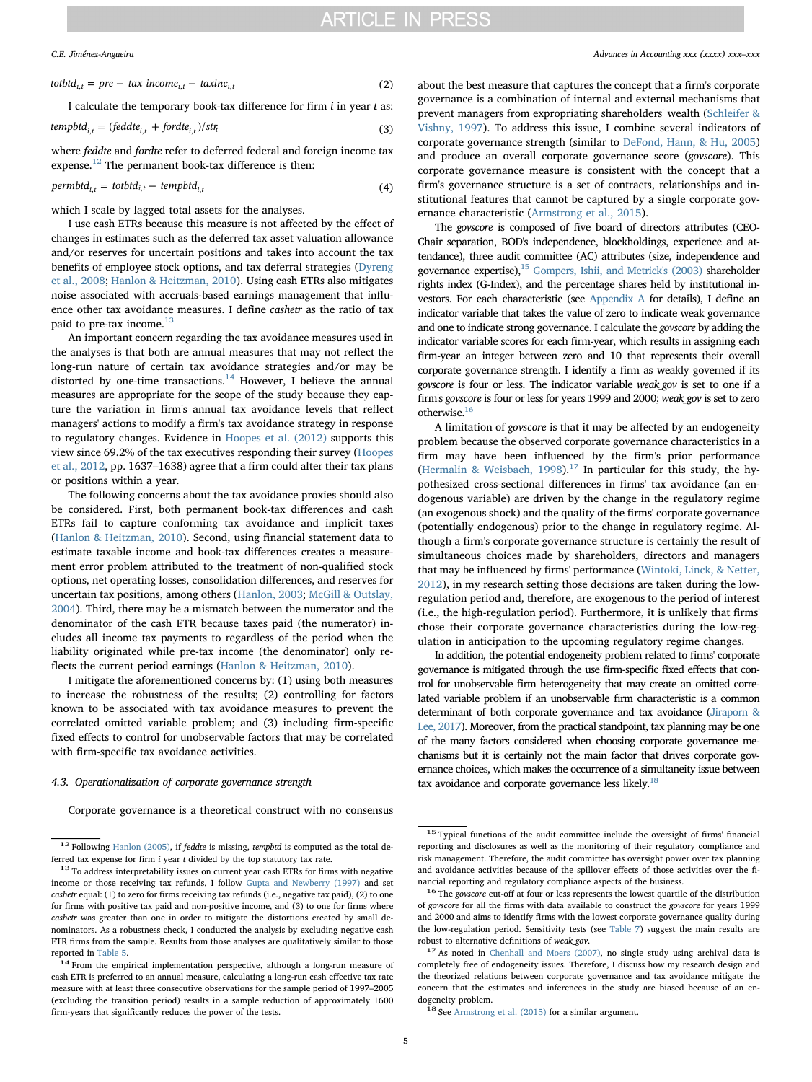$$
toibtd_{i,t} = pre - tax income_{i,t} - taxinc_{i,t}
$$
 (2)

I calculate the temporary book-tax difference for firm  $i$  in year  $t$  as:

$$
tempbtd_{i,t} = (feddte_{i,t} + fordte_{i,t})/str_t
$$
\n(3)

where feddte and fordte refer to deferred federal and foreign income tax expense.<sup>[12](#page-4-0)</sup> The permanent book-tax difference is then:

$$
permbtd_{i,t} = totbtd_{i,t} - tempbtd_{i,t}
$$
\n
$$
\tag{4}
$$

which I scale by lagged total assets for the analyses.

I use cash ETRs because this measure is not affected by the effect of changes in estimates such as the deferred tax asset valuation allowance and/or reserves for uncertain positions and takes into account the tax benefits of employee stock options, and tax deferral strategies [\(Dyreng](#page-17-4) [et al., 2008](#page-17-4); [Hanlon & Heitzman, 2010](#page-17-5)). Using cash ETRs also mitigates noise associated with accruals-based earnings management that influence other tax avoidance measures. I define cashetr as the ratio of tax paid to pre-tax income.  $^{\rm 13}$  $^{\rm 13}$  $^{\rm 13}$ 

An important concern regarding the tax avoidance measures used in the analyses is that both are annual measures that may not reflect the long-run nature of certain tax avoidance strategies and/or may be distorted by one-time transactions.<sup>[14](#page-4-2)</sup> However, I believe the annual measures are appropriate for the scope of the study because they capture the variation in firm's annual tax avoidance levels that reflect managers' actions to modify a firm's tax avoidance strategy in response to regulatory changes. Evidence in [Hoopes et al. \(2012\)](#page-17-9) supports this view since 69.2% of the tax executives responding their survey ([Hoopes](#page-17-9) [et al., 2012,](#page-17-9) pp. 1637–1638) agree that a firm could alter their tax plans or positions within a year.

The following concerns about the tax avoidance proxies should also be considered. First, both permanent book-tax differences and cash ETRs fail to capture conforming tax avoidance and implicit taxes ([Hanlon & Heitzman, 2010\)](#page-17-5). Second, using financial statement data to estimate taxable income and book-tax differences creates a measurement error problem attributed to the treatment of non-qualified stock options, net operating losses, consolidation differences, and reserves for uncertain tax positions, among others [\(Hanlon, 2003](#page-17-35); [McGill & Outslay,](#page-17-36) [2004\)](#page-17-36). Third, there may be a mismatch between the numerator and the denominator of the cash ETR because taxes paid (the numerator) includes all income tax payments to regardless of the period when the liability originated while pre-tax income (the denominator) only reflects the current period earnings ([Hanlon & Heitzman, 2010](#page-17-5)).

I mitigate the aforementioned concerns by: (1) using both measures to increase the robustness of the results; (2) controlling for factors known to be associated with tax avoidance measures to prevent the correlated omitted variable problem; and (3) including firm-specific fixed effects to control for unobservable factors that may be correlated with firm-specific tax avoidance activities.

### 4.3. Operationalization of corporate governance strength

Corporate governance is a theoretical construct with no consensus

about the best measure that captures the concept that a firm's corporate governance is a combination of internal and external mechanisms that prevent managers from expropriating shareholders' wealth ([Schleifer &](#page-17-37) [Vishny, 1997](#page-17-37)). To address this issue, I combine several indicators of corporate governance strength (similar to [DeFond, Hann, & Hu, 2005\)](#page-16-12) and produce an overall corporate governance score (govscore). This corporate governance measure is consistent with the concept that a firm's governance structure is a set of contracts, relationships and institutional features that cannot be captured by a single corporate governance characteristic [\(Armstrong et al., 2015\)](#page-16-3).

The govscore is composed of five board of directors attributes (CEO-Chair separation, BOD's independence, blockholdings, experience and attendance), three audit committee (AC) attributes (size, independence and governance expertise),<sup>15</sup> [Gompers, Ishii, and Metrick's \(2003\)](#page-17-38) shareholder rights index (G-Index), and the percentage shares held by institutional investors. For each characteristic (see [Appendix A](#page-14-0) for details), I define an indicator variable that takes the value of zero to indicate weak governance and one to indicate strong governance. I calculate the govscore by adding the indicator variable scores for each firm-year, which results in assigning each firm-year an integer between zero and 10 that represents their overall corporate governance strength. I identify a firm as weakly governed if its govscore is four or less. The indicator variable weak\_gov is set to one if a firm's govscore is four or less for years 1999 and 2000; weak\_gov is set to zero otherwise. $16$ 

A limitation of govscore is that it may be affected by an endogeneity problem because the observed corporate governance characteristics in a firm may have been influenced by the firm's prior performance ([Hermalin & Weisbach, 1998\)](#page-17-39).<sup>[17](#page-4-5)</sup> In particular for this study, the hypothesized cross-sectional differences in firms' tax avoidance (an endogenous variable) are driven by the change in the regulatory regime (an exogenous shock) and the quality of the firms' corporate governance (potentially endogenous) prior to the change in regulatory regime. Although a firm's corporate governance structure is certainly the result of simultaneous choices made by shareholders, directors and managers that may be influenced by firms' performance [\(Wintoki, Linck, & Netter,](#page-17-40) [2012\)](#page-17-40), in my research setting those decisions are taken during the lowregulation period and, therefore, are exogenous to the period of interest (i.e., the high-regulation period). Furthermore, it is unlikely that firms' chose their corporate governance characteristics during the low-regulation in anticipation to the upcoming regulatory regime changes.

In addition, the potential endogeneity problem related to firms' corporate governance is mitigated through the use firm-specific fixed effects that control for unobservable firm heterogeneity that may create an omitted correlated variable problem if an unobservable firm characteristic is a common determinant of both corporate governance and tax avoidance [\(Jiraporn &](#page-17-41) [Lee, 2017](#page-17-41)). Moreover, from the practical standpoint, tax planning may be one of the many factors considered when choosing corporate governance mechanisms but it is certainly not the main factor that drives corporate governance choices, which makes the occurrence of a simultaneity issue between tax avoidance and corporate governance less likely.<sup>18</sup>

<span id="page-4-0"></span> $12$  Following [Hanlon \(2005\),](#page-17-29) if feddte is missing, tempbtd is computed as the total de-

<span id="page-4-1"></span>ferred tax expense for firm  $i$  year  $t$  divided by the top statutory tax rate.  $^\mathrm{13}$  To address interpretability issues on current year cash ETRs for firms with negative income or those receiving tax refunds, I follow [Gupta and Newberry \(1997\)](#page-17-42) and set cashetr equal: (1) to zero for firms receiving tax refunds (i.e., negative tax paid), (2) to one for firms with positive tax paid and non-positive income, and (3) to one for firms where cashetr was greater than one in order to mitigate the distortions created by small denominators. As a robustness check, I conducted the analysis by excluding negative cash ETR firms from the sample. Results from those analyses are qualitatively similar to those

<span id="page-4-2"></span>reported in [Table 5.](#page-9-0) 14 From the empirical implementation perspective, although a long-run measure of  $\,$ cash ETR is preferred to an annual measure, calculating a long-run cash effective tax rate measure with at least three consecutive observations for the sample period of 1997–2005 (excluding the transition period) results in a sample reduction of approximately 1600 firm-years that significantly reduces the power of the tests.

<span id="page-4-3"></span><sup>15</sup> Typical functions of the audit committee include the oversight of firms' financial reporting and disclosures as well as the monitoring of their regulatory compliance and risk management. Therefore, the audit committee has oversight power over tax planning and avoidance activities because of the spillover effects of those activities over the financial reporting and regulatory compliance aspects of the business.  $16\,$  The govscore cut-off at four or less represents the lowest quartile of the distribution

<span id="page-4-4"></span>of govscore for all the firms with data available to construct the govscore for years 1999 and 2000 and aims to identify firms with the lowest corporate governance quality during the low-regulation period. Sensitivity tests (see [Table 7\)](#page-11-0) suggest the main results are robust to alternative definitions of weak gov.  $17$  As noted in [Chenhall and Moers \(2007\),](#page-16-13) no single study using archival data is

<span id="page-4-5"></span>completely free of endogeneity issues. Therefore, I discuss how my research design and the theorized relations between corporate governance and tax avoidance mitigate the concern that the estimates and inferences in the study are biased because of an en-dogeneity problem.<br><sup>18</sup> See [Armstrong et al. \(2015\)](#page-16-3) for a similar argument.

<span id="page-4-6"></span>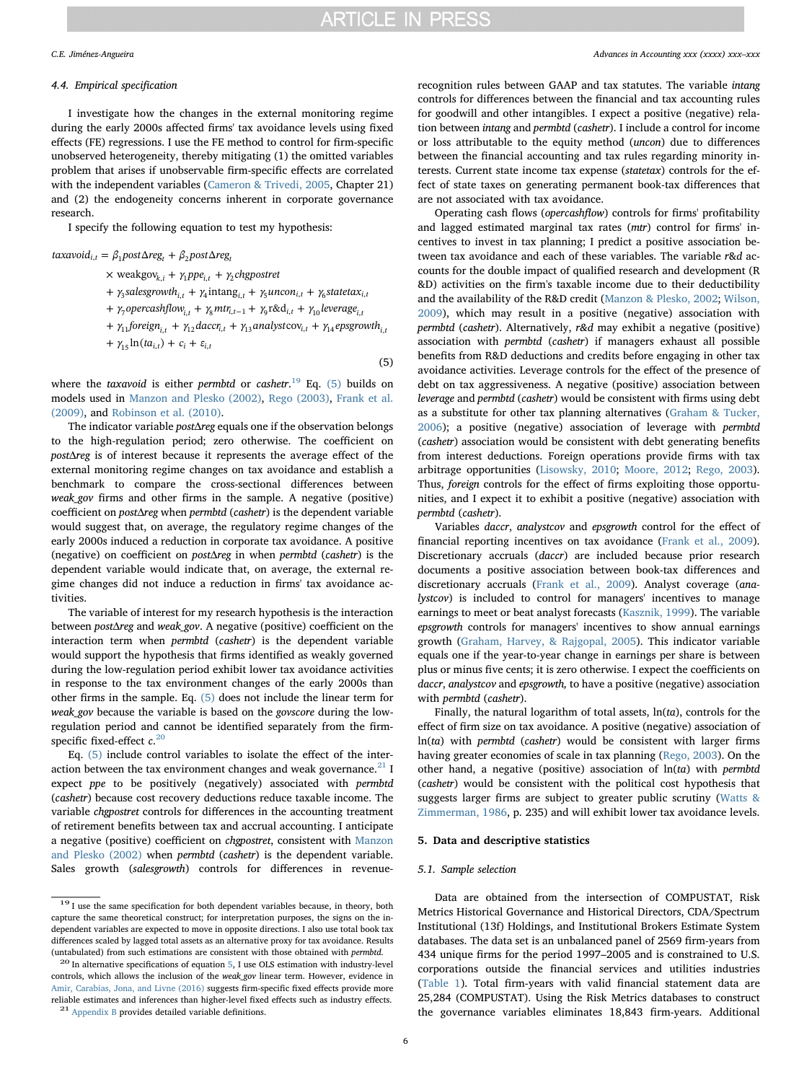#### 4.4. Empirical specification

I investigate how the changes in the external monitoring regime during the early 2000s affected firms' tax avoidance levels using fixed effects (FE) regressions. I use the FE method to control for firm-specific unobserved heterogeneity, thereby mitigating (1) the omitted variables problem that arises if unobservable firm-specific effects are correlated with the independent variables [\(Cameron & Trivedi, 2005](#page-16-14), Chapter 21) and (2) the endogeneity concerns inherent in corporate governance research.

<span id="page-5-1"></span>I specify the following equation to test my hypothesis:

$$
taxavoid_{i,t} = \beta_1 post\Delta reg_t + \beta_2 post\Delta reg_t
$$

 $\times$  weakgov<sub>k,*i*</sub> +  $\gamma_1 ppe_{i,t} + \gamma_2$ *chgpostret* 

+  $γ<sub>3</sub> salesgrowth<sub>i,t</sub> + γ<sub>4</sub>intang<sub>i,t</sub> + γ<sub>5</sub>uncon<sub>i,t</sub> + γ<sub>6</sub> statetax<sub>i,i</sub>$ 

+ 
$$
\gamma_7
$$
 opercashflow<sub>i,t</sub> +  $\gamma_8$ mt $r_{i,t-1}$  +  $\gamma_9$ r&d<sub>i,t</sub> +  $\gamma_{10}$ leverage<sub>i,t</sub>

- +  $\gamma_{11}$ foreign<sub>i,t</sub> +  $\gamma_{12}$ daccr<sub>i,t</sub> +  $\gamma_{13}$ analyst $\text{cov}_{i,t}$  +  $\gamma_{14}$ epsgrowth<sub>i,i</sub>
- $+ \gamma_{15} \ln (ta_{i,t}) + c_i + \varepsilon_{i,t}$

(5)

where the taxavoid is either permbtd or cashetr.<sup>[19](#page-5-0)</sup> Eq. [\(5\)](#page-5-1) builds on models used in [Manzon and Plesko \(2002\),](#page-17-43) [Rego \(2003\),](#page-17-44) [Frank et al.](#page-17-33) [\(2009\),](#page-17-33) and [Robinson et al. \(2010\)](#page-17-13).

The indicator variable postΔreg equals one if the observation belongs to the high-regulation period; zero otherwise. The coefficient on postΔreg is of interest because it represents the average effect of the external monitoring regime changes on tax avoidance and establish a benchmark to compare the cross-sectional differences between weak gov firms and other firms in the sample. A negative (positive) coefficient on postΔreg when permbtd (cashetr) is the dependent variable would suggest that, on average, the regulatory regime changes of the early 2000s induced a reduction in corporate tax avoidance. A positive (negative) on coefficient on postΔreg in when permbtd (cashetr) is the dependent variable would indicate that, on average, the external regime changes did not induce a reduction in firms' tax avoidance activities.

The variable of interest for my research hypothesis is the interaction between postΔreg and weak\_gov. A negative (positive) coefficient on the interaction term when permbtd (cashetr) is the dependent variable would support the hypothesis that firms identified as weakly governed during the low-regulation period exhibit lower tax avoidance activities in response to the tax environment changes of the early 2000s than other firms in the sample. Eq. [\(5\)](#page-5-1) does not include the linear term for weak\_gov because the variable is based on the govscore during the lowregulation period and cannot be identified separately from the firm-specific fixed-effect c.<sup>[20](#page-5-2)</sup>

Eq. [\(5\)](#page-5-1) include control variables to isolate the effect of the interaction between the tax environment changes and weak governance. $^{21}$  $^{21}$  $^{21}$  I expect ppe to be positively (negatively) associated with permbtd (cashetr) because cost recovery deductions reduce taxable income. The variable chgpostret controls for differences in the accounting treatment of retirement benefits between tax and accrual accounting. I anticipate a negative (positive) coefficient on chgpostret, consistent with [Manzon](#page-17-43) [and Plesko \(2002\)](#page-17-43) when permbtd (cashetr) is the dependent variable. Sales growth (salesgrowth) controls for differences in revenue-

<span id="page-5-3"></span>

recognition rules between GAAP and tax statutes. The variable intang controls for differences between the financial and tax accounting rules for goodwill and other intangibles. I expect a positive (negative) relation between intang and permbtd (cashetr). I include a control for income or loss attributable to the equity method (uncon) due to differences between the financial accounting and tax rules regarding minority interests. Current state income tax expense (statetax) controls for the effect of state taxes on generating permanent book-tax differences that are not associated with tax avoidance.

Operating cash flows (opercashflow) controls for firms' profitability and lagged estimated marginal tax rates (mtr) control for firms' incentives to invest in tax planning; I predict a positive association between tax avoidance and each of these variables. The variable r&d accounts for the double impact of qualified research and development (R &D) activities on the firm's taxable income due to their deductibility and the availability of the R&D credit ([Manzon & Plesko, 2002;](#page-17-43) [Wilson,](#page-17-28) [2009\)](#page-17-28), which may result in a positive (negative) association with permbtd (cashetr). Alternatively, r&d may exhibit a negative (positive) association with permbtd (cashetr) if managers exhaust all possible benefits from R&D deductions and credits before engaging in other tax avoidance activities. Leverage controls for the effect of the presence of debt on tax aggressiveness. A negative (positive) association between leverage and permbtd (cashetr) would be consistent with firms using debt as a substitute for other tax planning alternatives [\(Graham & Tucker,](#page-17-45) [2006\)](#page-17-45); a positive (negative) association of leverage with permbtd (cashetr) association would be consistent with debt generating benefits from interest deductions. Foreign operations provide firms with tax arbitrage opportunities [\(Lisowsky, 2010](#page-17-46); [Moore, 2012;](#page-17-47) [Rego, 2003](#page-17-44)). Thus, foreign controls for the effect of firms exploiting those opportunities, and I expect it to exhibit a positive (negative) association with permbtd (cashetr).

Variables daccr, analystcov and epsgrowth control for the effect of financial reporting incentives on tax avoidance ([Frank et al., 2009](#page-17-33)). Discretionary accruals (daccr) are included because prior research documents a positive association between book-tax differences and discretionary accruals ([Frank et al., 2009\)](#page-17-33). Analyst coverage (analystcov) is included to control for managers' incentives to manage earnings to meet or beat analyst forecasts ([Kasznik, 1999](#page-17-48)). The variable epsgrowth controls for managers' incentives to show annual earnings growth [\(Graham, Harvey, & Rajgopal, 2005\)](#page-17-49). This indicator variable equals one if the year-to-year change in earnings per share is between plus or minus five cents; it is zero otherwise. I expect the coefficients on daccr, analystcov and epsgrowth, to have a positive (negative) association with permbtd (cashetr).

Finally, the natural logarithm of total assets,  $ln(ta)$ , controls for the effect of firm size on tax avoidance. A positive (negative) association of  $ln(ta)$  with *permbtd* (*cashetr*) would be consistent with larger firms having greater economies of scale in tax planning [\(Rego, 2003](#page-17-44)). On the other hand, a negative (positive) association of  $ln(ta)$  with permbtd (cashetr) would be consistent with the political cost hypothesis that suggests larger firms are subject to greater public scrutiny [\(Watts &](#page-17-50) [Zimmerman, 1986](#page-17-50), p. 235) and will exhibit lower tax avoidance levels.

### 5. Data and descriptive statistics

#### 5.1. Sample selection

Data are obtained from the intersection of COMPUSTAT, Risk Metrics Historical Governance and Historical Directors, CDA/Spectrum Institutional (13f) Holdings, and Institutional Brokers Estimate System databases. The data set is an unbalanced panel of 2569 firm-years from 434 unique firms for the period 1997–2005 and is constrained to U.S. corporations outside the financial services and utilities industries ([Table 1](#page-6-0)). Total firm-years with valid financial statement data are 25,284 (COMPUSTAT). Using the Risk Metrics databases to construct the governance variables eliminates 18,843 firm-years. Additional

<span id="page-5-0"></span> $^{19}$  I use the same specification for both dependent variables because, in theory, both capture the same theoretical construct; for interpretation purposes, the signs on the independent variables are expected to move in opposite directions. I also use total book tax differences scaled by lagged total assets as an alternative proxy for tax avoidance. Results

<span id="page-5-2"></span><sup>(</sup>untabulated) from such estimations are consistent with those obtained with *permbtd*. <sup>20</sup> In alternative specifications of equation [5,](#page-5-1) I use OLS estimation with industry-level controls, which allows the inclusion of the weak\_gov linear term. However, evidence in [Amir, Carabias, Jona, and Livne \(2016\)](#page-16-15) suggests firm-specific fixed effects provide more reliable estimates and inferences than higher-level fixed effects such as industry effects.  $^\mathrm{21}$  [Appendix B](#page-16-16) provides detailed variable definitions.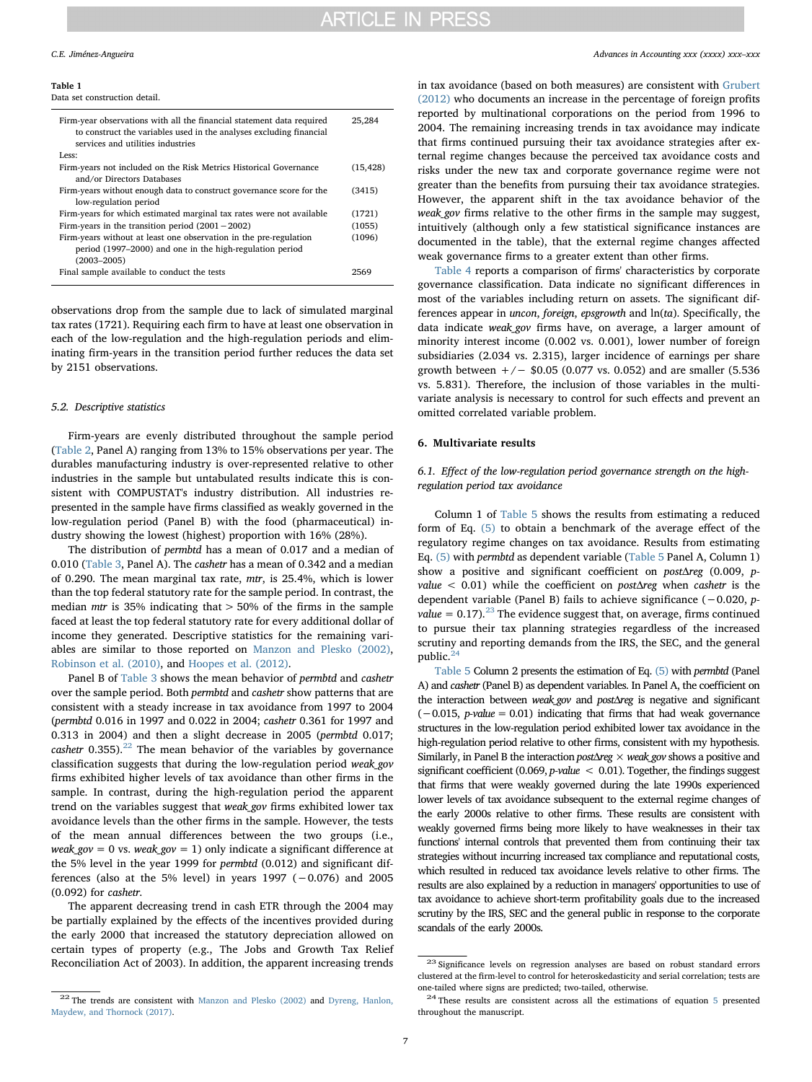#### <span id="page-6-0"></span>Table 1

### Data set construction detail.

| Firm-year observations with all the financial statement data required<br>to construct the variables used in the analyses excluding financial<br>services and utilities industries | 25.284    |
|-----------------------------------------------------------------------------------------------------------------------------------------------------------------------------------|-----------|
| Less:                                                                                                                                                                             |           |
| Firm-years not included on the Risk Metrics Historical Governance<br>and/or Directors Databases                                                                                   | (15, 428) |
| Firm-years without enough data to construct governance score for the<br>low-regulation period                                                                                     | (3415)    |
| Firm-years for which estimated marginal tax rates were not available                                                                                                              | (1721)    |
| Firm-years in the transition period $(2001 - 2002)$                                                                                                                               | (1055)    |
| Firm-years without at least one observation in the pre-regulation<br>period (1997–2000) and one in the high-regulation period<br>$(2003 - 2005)$                                  | (1096)    |
| Final sample available to conduct the tests                                                                                                                                       | 2569      |

observations drop from the sample due to lack of simulated marginal tax rates (1721). Requiring each firm to have at least one observation in each of the low-regulation and the high-regulation periods and eliminating firm-years in the transition period further reduces the data set by 2151 observations.

### 5.2. Descriptive statistics

Firm-years are evenly distributed throughout the sample period ([Table 2,](#page-7-0) Panel A) ranging from 13% to 15% observations per year. The durables manufacturing industry is over-represented relative to other industries in the sample but untabulated results indicate this is consistent with COMPUSTAT's industry distribution. All industries represented in the sample have firms classified as weakly governed in the low-regulation period (Panel B) with the food (pharmaceutical) industry showing the lowest (highest) proportion with 16% (28%).

The distribution of permbtd has a mean of 0.017 and a median of 0.010 ([Table 3,](#page-8-0) Panel A). The cashetr has a mean of 0.342 and a median of 0.290. The mean marginal tax rate, mtr, is 25.4%, which is lower than the top federal statutory rate for the sample period. In contrast, the median  $mtr$  is 35% indicating that  $>$  50% of the firms in the sample faced at least the top federal statutory rate for every additional dollar of income they generated. Descriptive statistics for the remaining variables are similar to those reported on [Manzon and Plesko \(2002\)](#page-17-43), [Robinson et al. \(2010\),](#page-17-13) and [Hoopes et al. \(2012\).](#page-17-9)

Panel B of [Table 3](#page-8-0) shows the mean behavior of permbtd and cashetr over the sample period. Both permbtd and cashetr show patterns that are consistent with a steady increase in tax avoidance from 1997 to 2004 (permbtd 0.016 in 1997 and 0.022 in 2004; cashetr 0.361 for 1997 and 0.313 in 2004) and then a slight decrease in 2005 (permbtd 0.017; cashetr  $0.355$ ).<sup>[22](#page-6-1)</sup> The mean behavior of the variables by governance classification suggests that during the low-regulation period weak\_gov firms exhibited higher levels of tax avoidance than other firms in the sample. In contrast, during the high-regulation period the apparent trend on the variables suggest that weak\_gov firms exhibited lower tax avoidance levels than the other firms in the sample. However, the tests of the mean annual differences between the two groups (i.e., weak\_gov = 0 vs. weak\_gov = 1) only indicate a significant difference at the 5% level in the year 1999 for permbtd (0.012) and significant differences (also at the 5% level) in years 1997 (−0.076) and 2005 (0.092) for cashetr.

The apparent decreasing trend in cash ETR through the 2004 may be partially explained by the effects of the incentives provided during the early 2000 that increased the statutory depreciation allowed on certain types of property (e.g., The Jobs and Growth Tax Relief Reconciliation Act of 2003). In addition, the apparent increasing trends

in tax avoidance (based on both measures) are consistent with [Grubert](#page-17-51) [\(2012\)](#page-17-51) who documents an increase in the percentage of foreign profits reported by multinational corporations on the period from 1996 to 2004. The remaining increasing trends in tax avoidance may indicate that firms continued pursuing their tax avoidance strategies after external regime changes because the perceived tax avoidance costs and risks under the new tax and corporate governance regime were not greater than the benefits from pursuing their tax avoidance strategies. However, the apparent shift in the tax avoidance behavior of the weak gov firms relative to the other firms in the sample may suggest, intuitively (although only a few statistical significance instances are documented in the table), that the external regime changes affected weak governance firms to a greater extent than other firms.

[Table 4](#page-8-1) reports a comparison of firms' characteristics by corporate governance classification. Data indicate no significant differences in most of the variables including return on assets. The significant differences appear in uncon, foreign, epsgrowth and ln(ta). Specifically, the data indicate weak\_gov firms have, on average, a larger amount of minority interest income (0.002 vs. 0.001), lower number of foreign subsidiaries (2.034 vs. 2.315), larger incidence of earnings per share growth between  $+/-$  \$0.05 (0.077 vs. 0.052) and are smaller (5.536 vs. 5.831). Therefore, the inclusion of those variables in the multivariate analysis is necessary to control for such effects and prevent an omitted correlated variable problem.

## 6. Multivariate results

# 6.1. Effect of the low-regulation period governance strength on the highregulation period tax avoidance

Column 1 of [Table 5](#page-9-0) shows the results from estimating a reduced form of Eq. [\(5\)](#page-5-1) to obtain a benchmark of the average effect of the regulatory regime changes on tax avoidance. Results from estimating Eq. [\(5\)](#page-5-1) with permbtd as dependent variable [\(Table 5](#page-9-0) Panel A, Column 1) show a positive and significant coefficient on postΔreg (0.009, pvalue < 0.01) while the coefficient on post $\Delta$ reg when cashetr is the dependent variable (Panel B) fails to achieve significance (−0.020, p*value* = 0.17).<sup>[23](#page-6-2)</sup> The evidence suggest that, on average, firms continued to pursue their tax planning strategies regardless of the increased scrutiny and reporting demands from the IRS, the SEC, and the general public.<sup>2</sup>

[Table 5](#page-9-0) Column 2 presents the estimation of Eq. [\(5\)](#page-5-1) with permbtd (Panel A) and cashetr (Panel B) as dependent variables. In Panel A, the coefficient on the interaction between weak\_gov and postΔreg is negative and significant  $(-0.015, p-value = 0.01)$  indicating that firms that had weak governance structures in the low-regulation period exhibited lower tax avoidance in the high-regulation period relative to other firms, consistent with my hypothesis. Similarly, in Panel B the interaction  $post\triangle reg \times weak.gov$  shows a positive and significant coefficient (0.069, *p-value*  $\langle$  0.01). Together, the findings suggest that firms that were weakly governed during the late 1990s experienced lower levels of tax avoidance subsequent to the external regime changes of the early 2000s relative to other firms. These results are consistent with weakly governed firms being more likely to have weaknesses in their tax functions' internal controls that prevented them from continuing their tax strategies without incurring increased tax compliance and reputational costs, which resulted in reduced tax avoidance levels relative to other firms. The results are also explained by a reduction in managers' opportunities to use of tax avoidance to achieve short-term profitability goals due to the increased scrutiny by the IRS, SEC and the general public in response to the corporate scandals of the early 2000s.

<span id="page-6-1"></span><sup>22</sup> The trends are consistent with [Manzon and Plesko \(2002\)](#page-17-43) and [Dyreng, Hanlon,](#page-17-52) [Maydew, and Thornock \(2017\)](#page-17-52).

<span id="page-6-2"></span><sup>23</sup> Significance levels on regression analyses are based on robust standard errors clustered at the firm-level to control for heteroskedasticity and serial correlation; tests are one-tailed where signs are predicted; two-tailed, otherwise. <sup>24</sup> These results are consistent across all the estimations of equation [5](#page-5-1) presented

<span id="page-6-3"></span>throughout the manuscript.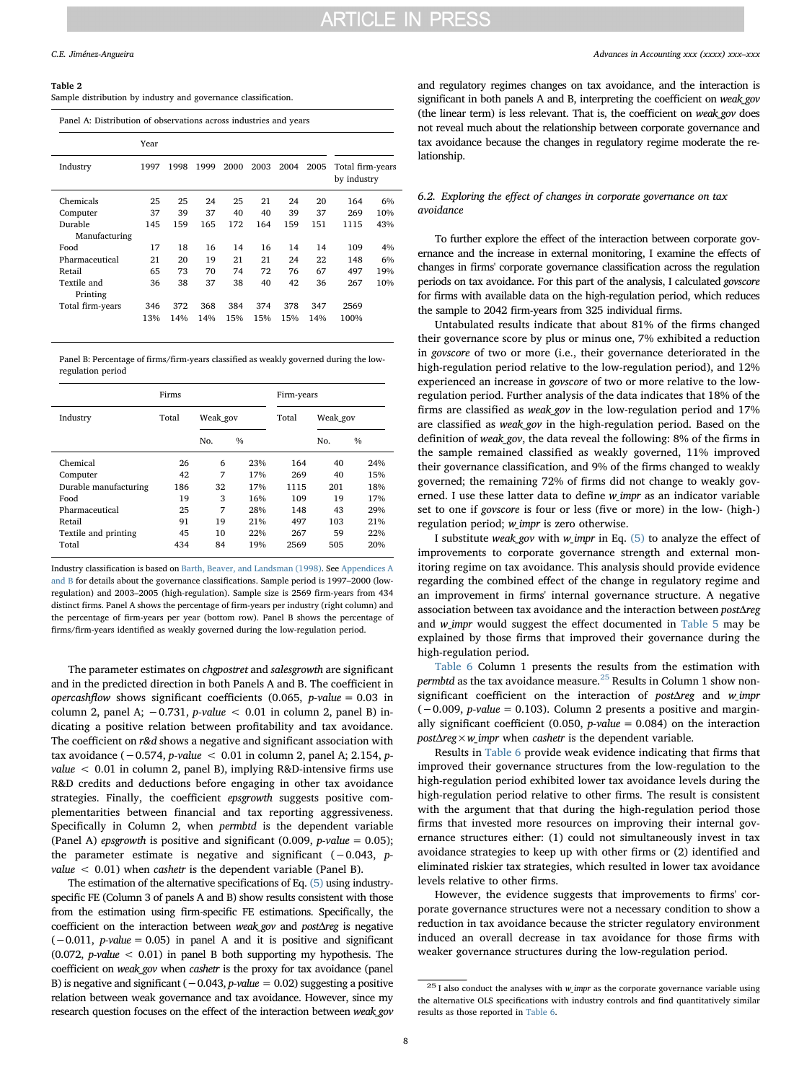#### <span id="page-7-0"></span>Table 2

Sample distribution by industry and governance classification.

Panel A: Distribution of observations across industries and years

|                  | Year |      |      |      |      |      |      |                                 |     |
|------------------|------|------|------|------|------|------|------|---------------------------------|-----|
| Industry         | 1997 | 1998 | 1999 | 2000 | 2003 | 2004 | 2005 | Total firm-years<br>by industry |     |
| Chemicals        | 25   | 25   | 24   | 25   | 21   | 24   | 20   | 164                             | 6%  |
| Computer         | 37   | 39   | 37   | 40   | 40   | 39   | 37   | 269                             | 10% |
| Durable          | 145  | 159  | 165  | 172  | 164  | 159  | 151  | 1115                            | 43% |
| Manufacturing    |      |      |      |      |      |      |      |                                 |     |
| Food             | 17   | 18   | 16   | 14   | 16   | 14   | 14   | 109                             | 4%  |
| Pharmaceutical   | 21   | 20   | 19   | 21   | 21   | 24   | 22   | 148                             | 6%  |
| Retail           | 65   | 73   | 70   | 74   | 72   | 76   | 67   | 497                             | 19% |
| Textile and      | 36   | 38   | 37   | 38   | 40   | 42   | 36   | 267                             | 10% |
| Printing         |      |      |      |      |      |      |      |                                 |     |
| Total firm-years | 346  | 372  | 368  | 384  | 374  | 378  | 347  | 2569                            |     |
|                  | 13%  | 14%  | 14%  | 15%  | 15%  | 15%  | 14%  | 100%                            |     |
|                  |      |      |      |      |      |      |      |                                 |     |

Panel B: Percentage of firms/firm-years classified as weakly governed during the lowregulation period

|                       | Firms |     |               | Firm-years |          |      |
|-----------------------|-------|-----|---------------|------------|----------|------|
| Industry              | Total |     | Weak_gov      |            | Weak gov |      |
|                       |       | No. | $\frac{0}{0}$ |            | No.      | $\%$ |
| Chemical              | 26    | 6   | 23%           | 164        | 40       | 24%  |
| Computer              | 42    | 7   | 17%           | 269        | 40       | 15%  |
| Durable manufacturing | 186   | 32  | 17%           | 1115       | 201      | 18%  |
| Food                  | 19    | 3   | 16%           | 109        | 19       | 17%  |
| Pharmaceutical        | 25    | 7   | 28%           | 148        | 43       | 29%  |
| Retail                | 91    | 19  | 21%           | 497        | 103      | 21%  |
| Textile and printing  | 45    | 10  | 22%           | 267        | 59       | 22%  |
| Total                 | 434   | 84  | 19%           | 2569       | 505      | 20%  |

Industry classification is based on [Barth, Beaver, and Landsman \(1998\).](#page-16-17) See [Appendices A](#page-14-0) [and B](#page-14-0) for details about the governance classifications. Sample period is 1997–2000 (lowregulation) and 2003–2005 (high-regulation). Sample size is 2569 firm-years from 434 distinct firms. Panel A shows the percentage of firm-years per industry (right column) and the percentage of firm-years per year (bottom row). Panel B shows the percentage of firms/firm-years identified as weakly governed during the low-regulation period.

The parameter estimates on chgpostret and salesgrowth are significant and in the predicted direction in both Panels A and B. The coefficient in opercashflow shows significant coefficients (0.065, p-value =  $0.03$  in column 2, panel A; −0.731, p-value < 0.01 in column 2, panel B) indicating a positive relation between profitability and tax avoidance. The coefficient on r&d shows a negative and significant association with tax avoidance (−0.574, p-value < 0.01 in column 2, panel A; 2.154, pvalue < 0.01 in column 2, panel B), implying R&D-intensive firms use R&D credits and deductions before engaging in other tax avoidance strategies. Finally, the coefficient epsgrowth suggests positive complementarities between financial and tax reporting aggressiveness. Specifically in Column 2, when permbtd is the dependent variable (Panel A) epsgrowth is positive and significant (0.009, p-value =  $0.05$ ); the parameter estimate is negative and significant  $(-0.043, p$ value  $<$  0.01) when cashetr is the dependent variable (Panel B).

The estimation of the alternative specifications of Eq. [\(5\)](#page-5-1) using industryspecific FE (Column 3 of panels A and B) show results consistent with those from the estimation using firm-specific FE estimations. Specifically, the coefficient on the interaction between weak\_gov and postΔreg is negative  $(-0.011, p-value = 0.05)$  in panel A and it is positive and significant (0.072, *p-value*  $<$  0.01) in panel B both supporting my hypothesis. The coefficient on weak gov when cashetr is the proxy for tax avoidance (panel B) is negative and significant ( $-0.043$ , *p-value* = 0.02) suggesting a positive relation between weak governance and tax avoidance. However, since my research question focuses on the effect of the interaction between weak\_gov

and regulatory regimes changes on tax avoidance, and the interaction is significant in both panels A and B, interpreting the coefficient on weak\_gov (the linear term) is less relevant. That is, the coefficient on weak\_gov does not reveal much about the relationship between corporate governance and tax avoidance because the changes in regulatory regime moderate the relationship.

# 6.2. Exploring the effect of changes in corporate governance on tax avoidance

To further explore the effect of the interaction between corporate governance and the increase in external monitoring, I examine the effects of changes in firms' corporate governance classification across the regulation periods on tax avoidance. For this part of the analysis, I calculated govscore for firms with available data on the high-regulation period, which reduces the sample to 2042 firm-years from 325 individual firms.

Untabulated results indicate that about 81% of the firms changed their governance score by plus or minus one, 7% exhibited a reduction in govscore of two or more (i.e., their governance deteriorated in the high-regulation period relative to the low-regulation period), and 12% experienced an increase in govscore of two or more relative to the lowregulation period. Further analysis of the data indicates that 18% of the firms are classified as weak\_gov in the low-regulation period and 17% are classified as weak\_gov in the high-regulation period. Based on the definition of weak\_gov, the data reveal the following: 8% of the firms in the sample remained classified as weakly governed, 11% improved their governance classification, and 9% of the firms changed to weakly governed; the remaining 72% of firms did not change to weakly governed. I use these latter data to define w\_impr as an indicator variable set to one if govscore is four or less (five or more) in the low- (high-) regulation period; w\_impr is zero otherwise.

I substitute weak\_gov with  $w\_impr$  in Eq. [\(5\)](#page-5-1) to analyze the effect of improvements to corporate governance strength and external monitoring regime on tax avoidance. This analysis should provide evidence regarding the combined effect of the change in regulatory regime and an improvement in firms' internal governance structure. A negative association between tax avoidance and the interaction between postΔreg and  $w$  impr would suggest the effect documented in [Table 5](#page-9-0) may be explained by those firms that improved their governance during the high-regulation period.

[Table 6](#page-10-0) Column 1 presents the results from the estimation with *permbtd* as the tax avoidance measure.<sup>[25](#page-7-1)</sup> Results in Column 1 show nonsignificant coefficient on the interaction of postΔreg and w\_impr  $(-0.009, p-value = 0.103)$ . Column 2 presents a positive and marginally significant coefficient (0.050, *p-value* = 0.084) on the interaction  $post\Delta reg \times w\_impr$  when *cashetr* is the dependent variable.

Results in [Table 6](#page-10-0) provide weak evidence indicating that firms that improved their governance structures from the low-regulation to the high-regulation period exhibited lower tax avoidance levels during the high-regulation period relative to other firms. The result is consistent with the argument that that during the high-regulation period those firms that invested more resources on improving their internal governance structures either: (1) could not simultaneously invest in tax avoidance strategies to keep up with other firms or (2) identified and eliminated riskier tax strategies, which resulted in lower tax avoidance levels relative to other firms.

However, the evidence suggests that improvements to firms' corporate governance structures were not a necessary condition to show a reduction in tax avoidance because the stricter regulatory environment induced an overall decrease in tax avoidance for those firms with weaker governance structures during the low-regulation period.

<span id="page-7-1"></span> $^{25}$  I also conduct the analyses with  $w\_impr$  as the corporate governance variable using the alternative OLS specifications with industry controls and find quantitatively similar results as those reported in [Table 6](#page-10-0).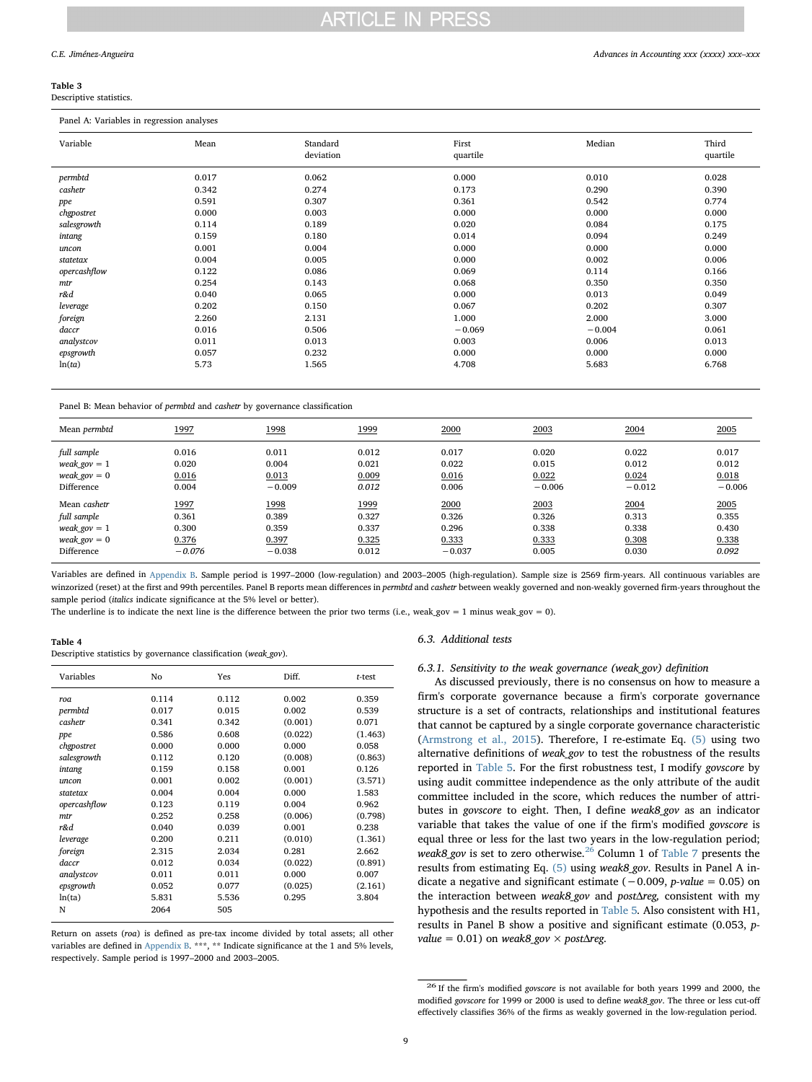### <span id="page-8-0"></span>Table 3

#### Descriptive statistics.

## Panel A: Variables in regression analyses

| Variable     | Mean  | Standard<br>deviation | First<br>quartile | Median   | Third<br>quartile |
|--------------|-------|-----------------------|-------------------|----------|-------------------|
|              |       |                       |                   |          |                   |
| permbtd      | 0.017 | 0.062                 | 0.000             | 0.010    | 0.028             |
| cashetr      | 0.342 | 0.274                 | 0.173             | 0.290    | 0.390             |
| ppe          | 0.591 | 0.307                 | 0.361             | 0.542    | 0.774             |
| chgpostret   | 0.000 | 0.003                 | 0.000             | 0.000    | 0.000             |
| salesgrowth  | 0.114 | 0.189                 | 0.020             | 0.084    | 0.175             |
| intang       | 0.159 | 0.180                 | 0.014             | 0.094    | 0.249             |
| uncon        | 0.001 | 0.004                 | 0.000             | 0.000    | 0.000             |
| statetax     | 0.004 | 0.005                 | 0.000             | 0.002    | 0.006             |
| opercashflow | 0.122 | 0.086                 | 0.069             | 0.114    | 0.166             |
| mtr          | 0.254 | 0.143                 | 0.068             | 0.350    | 0.350             |
| r&d          | 0.040 | 0.065                 | 0.000             | 0.013    | 0.049             |
| leverage     | 0.202 | 0.150                 | 0.067             | 0.202    | 0.307             |
| foreign      | 2.260 | 2.131                 | 1.000             | 2.000    | 3.000             |
| daccr        | 0.016 | 0.506                 | $-0.069$          | $-0.004$ | 0.061             |
| analystcov   | 0.011 | 0.013                 | 0.003             | 0.006    | 0.013             |
| epsgrowth    | 0.057 | 0.232                 | 0.000             | 0.000    | 0.000             |
| ln(ta)       | 5.73  | 1.565                 | 4.708             | 5.683    | 6.768             |

#### Panel B: Mean behavior of permbtd and cashetr by governance classification

| Mean <i>permbtd</i> | 1997     | 1998     | 1999  | 2000     | 2003     | 2004     | 2005     |
|---------------------|----------|----------|-------|----------|----------|----------|----------|
| full sample         | 0.016    | 0.011    | 0.012 | 0.017    | 0.020    | 0.022    | 0.017    |
| $weak_{.}gov = 1$   | 0.020    | 0.004    | 0.021 | 0.022    | 0.015    | 0.012    | 0.012    |
| $weak_gov = 0$      | 0.016    | 0.013    | 0.009 | 0.016    | 0.022    | 0.024    | 0.018    |
| Difference          | 0.004    | $-0.009$ | 0.012 | 0.006    | $-0.006$ | $-0.012$ | $-0.006$ |
| Mean cashetr        | 1997     | 1998     | 1999  | 2000     | 2003     | 2004     | 2005     |
| full sample         | 0.361    | 0.389    | 0.327 | 0.326    | 0.326    | 0.313    | 0.355    |
| $weak_{.}gov = 1$   | 0.300    | 0.359    | 0.337 | 0.296    | 0.338    | 0.338    | 0.430    |
| $weak\_gov = 0$     | 0.376    | 0.397    | 0.325 | 0.333    | 0.333    | 0.308    | 0.338    |
| Difference          | $-0.076$ | $-0.038$ | 0.012 | $-0.037$ | 0.005    | 0.030    | 0.092    |

Variables are defined in [Appendix B](#page-16-16). Sample period is 1997–2000 (low-regulation) and 2003–2005 (high-regulation). Sample size is 2569 firm-years. All continuous variables are winzorized (reset) at the first and 99th percentiles. Panel B reports mean differences in permbtd and cashetr between weakly governed and non-weakly governed firm-years throughout the sample period (italics indicate significance at the 5% level or better).

The underline is to indicate the next line is the difference between the prior two terms (i.e., weak\_gov = 1 minus weak\_gov = 0).

### <span id="page-8-1"></span>Table 4

Descriptive statistics by governance classification (weak\_gov).

| Variables    | No    | Yes   | Diff.   | t-test  |
|--------------|-------|-------|---------|---------|
| roa          | 0.114 | 0.112 | 0.002   | 0.359   |
| permbtd      | 0.017 | 0.015 | 0.002   | 0.539   |
| cashetr      | 0.341 | 0.342 | (0.001) | 0.071   |
| ppe          | 0.586 | 0.608 | (0.022) | (1.463) |
| chgpostret   | 0.000 | 0.000 | 0.000   | 0.058   |
| salesgrowth  | 0.112 | 0.120 | (0.008) | (0.863) |
| intang       | 0.159 | 0.158 | 0.001   | 0.126   |
| uncon        | 0.001 | 0.002 | (0.001) | (3.571) |
| statetax     | 0.004 | 0.004 | 0.000   | 1.583   |
| opercashflow | 0.123 | 0.119 | 0.004   | 0.962   |
| mtr          | 0.252 | 0.258 | (0.006) | (0.798) |
| r&d          | 0.040 | 0.039 | 0.001   | 0.238   |
| leverage     | 0.200 | 0.211 | (0.010) | (1.361) |
| foreign      | 2.315 | 2.034 | 0.281   | 2.662   |
| daccr        | 0.012 | 0.034 | (0.022) | (0.891) |
| analystcov   | 0.011 | 0.011 | 0.000   | 0.007   |
| epsgrowth    | 0.052 | 0.077 | (0.025) | (2.161) |
| ln(ta)       | 5.831 | 5.536 | 0.295   | 3.804   |
| N            | 2064  | 505   |         |         |

Return on assets (roa) is defined as pre-tax income divided by total assets; all other variables are defined in [Appendix B.](#page-16-16) \*\*\*, \*\* Indicate significance at the 1 and 5% levels, respectively. Sample period is 1997–2000 and 2003–2005.

### 6.3. Additional tests

#### 6.3.1. Sensitivity to the weak governance (weak\_gov) definition

As discussed previously, there is no consensus on how to measure a firm's corporate governance because a firm's corporate governance structure is a set of contracts, relationships and institutional features that cannot be captured by a single corporate governance characteristic ([Armstrong et al., 2015\)](#page-16-3). Therefore, I re-estimate Eq. [\(5\)](#page-5-1) using two alternative definitions of weak\_gov to test the robustness of the results reported in [Table 5](#page-9-0). For the first robustness test, I modify govscore by using audit committee independence as the only attribute of the audit committee included in the score, which reduces the number of attributes in govscore to eight. Then, I define weak8\_gov as an indicator variable that takes the value of one if the firm's modified govscore is equal three or less for the last two years in the low-regulation period; weak8\_gov is set to zero otherwise. $^{26}$  $^{26}$  $^{26}$  Column 1 of [Table 7](#page-11-0) presents the results from estimating Eq. [\(5\)](#page-5-1) using weak8\_gov. Results in Panel A indicate a negative and significant estimate ( $-0.009$ , *p-value* = 0.05) on the interaction between weak8\_gov and postΔreg, consistent with my hypothesis and the results reported in [Table 5](#page-9-0). Also consistent with H1, results in Panel B show a positive and significant estimate (0.053, pvalue = 0.01) on weak8\_gov  $\times$  post $\Delta$ reg.

<span id="page-8-2"></span><sup>26</sup> If the firm's modified govscore is not available for both years 1999 and 2000, the modified govscore for 1999 or 2000 is used to define weak8\_gov. The three or less cut-off effectively classifies 36% of the firms as weakly governed in the low-regulation period.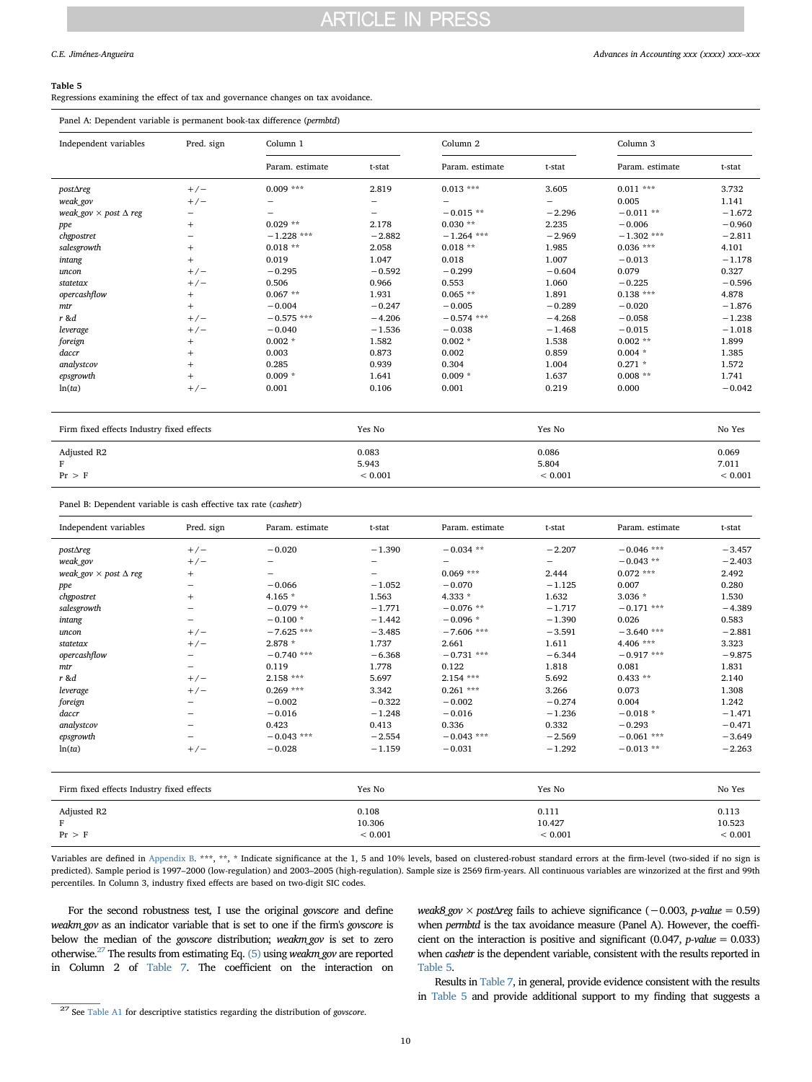#### <span id="page-9-0"></span>Table 5

Regressions examining the effect of tax and governance changes on tax avoidance.

| Independent variables                     | Pred. sign | Column 1        |             |                 | Column 2    |                 | Column 3    |  |
|-------------------------------------------|------------|-----------------|-------------|-----------------|-------------|-----------------|-------------|--|
|                                           |            | Param. estimate | t-stat      | Param. estimate | t-stat      | Param. estimate | t-stat      |  |
| $post\Delta reg$                          | $+/-$      | $0.009***$      | 2.819       | $0.013***$      | 3.605       | $0.011***$      | 3.732       |  |
| weak_gov                                  | $+/-$      | -               | -           | -               | -           | 0.005           | 1.141       |  |
| weak_gov $\times$ post $\Delta$ reg       | -          | -               | -           | $-0.015**$      | $-2.296$    | $-0.011**$      | $-1.672$    |  |
| ppe                                       | $^{+}$     | $0.029**$       | 2.178       | $0.030**$       | 2.235       | $-0.006$        | $-0.960$    |  |
| chgpostret                                | -          | $-1.228$ ***    | $-2.882$    | $-1.264$ ***    | $-2.969$    | $-1.302$ ***    | $-2.811$    |  |
| salesgrowth                               | $+$        | $0.018**$       | 2.058       | $0.018**$       | 1.985       | $0.036$ ***     | 4.101       |  |
| intang                                    | $^{+}$     | 0.019           | 1.047       | 0.018           | 1.007       | $-0.013$        | $-1.178$    |  |
| uncon                                     | $+/-$      | $-0.295$        | $-0.592$    | $-0.299$        | $-0.604$    | 0.079           | 0.327       |  |
| statetax                                  | $+/-$      | 0.506           | 0.966       | 0.553           | 1.060       | $-0.225$        | $-0.596$    |  |
| opercashflow                              | $+$        | $0.067**$       | 1.931       | $0.065**$       | 1.891       | $0.138***$      | 4.878       |  |
| mtr                                       | $+$        | $-0.004$        | $-0.247$    | $-0.005$        | $-0.289$    | $-0.020$        | $-1.876$    |  |
| $r$ & $d$                                 | $+/-$      | $-0.575$ ***    | $-4.206$    | $-0.574$ ***    | $-4.268$    | $-0.058$        | $-1.238$    |  |
| leverage                                  | $+/-$      | $-0.040$        | $-1.536$    | $-0.038$        | $-1.468$    | $-0.015$        | $-1.018$    |  |
| foreign                                   | $^{+}$     | $0.002*$        | 1.582       | $0.002 *$       | 1.538       | $0.002$ **      | 1.899       |  |
| daccr                                     | $^{+}$     | 0.003           | 0.873       | 0.002           | 0.859       | $0.004*$        | 1.385       |  |
| analystcov                                | $^{+}$     | 0.285           | 0.939       | 0.304           | 1.004       | $0.271*$        | 1.572       |  |
| epsgrowth                                 | $^{+}$     | $0.009 *$       | 1.641       | $0.009 *$       | 1.637       | $0.008**$       | 1.741       |  |
| ln(ta)                                    | $+/-$      | 0.001           | 0.106       | 0.001           | 0.219       | 0.000           | $-0.042$    |  |
| Firm fixed effects Industry fixed effects |            |                 | Yes No      |                 | Yes No      |                 | No Yes      |  |
| Adjusted R2                               |            |                 | 0.083       |                 | 0.086       |                 | 0.069       |  |
| F                                         |            |                 | 5.943       |                 | 5.804       |                 | 7.011       |  |
| $Pr$ > F                                  |            |                 | ${}< 0.001$ |                 | ${}< 0.001$ |                 | ${}< 0.001$ |  |

Panel B: Dependent variable is cash effective tax rate (cashetr)

| Independent variables                     | Pred. sign | Param. estimate          | t-stat      | Param. estimate   | t-stat      | Param. estimate | t-stat      |
|-------------------------------------------|------------|--------------------------|-------------|-------------------|-------------|-----------------|-------------|
| $post\Delta reg$                          | $+/-$      | $-0.020$                 | $-1.390$    | $-0.034**$        | $-2.207$    | $-0.046$ ***    | $-3.457$    |
| weak_gov                                  | $+/-$      | -                        | -           | $\qquad \qquad -$ | -           | $-0.043$ **     | $-2.403$    |
| weak_gov $\times$ post $\Delta$ reg       | $^{+}$     | $\overline{\phantom{0}}$ | -           | $0.069***$        | 2.444       | $0.072$ ***     | 2.492       |
| ppe                                       | -          | $-0.066$                 | $-1.052$    | $-0.070$          | $-1.125$    | 0.007           | 0.280       |
| chgpostret                                | $^{+}$     | $4.165*$                 | 1.563       | 4.333 $*$         | 1.632       | $3.036*$        | 1.530       |
| salesgrowth                               | -          | $-0.079**$               | $-1.771$    | $-0.076$ **       | $-1.717$    | $-0.171$ ***    | $-4.389$    |
| intang                                    | -          | $-0.100*$                | $-1.442$    | $-0.096*$         | $-1.390$    | 0.026           | 0.583       |
| uncon                                     | $+/-$      | $-7.625$ ***             | $-3.485$    | $-7.606$ ***      | $-3.591$    | $-3.640$ ***    | $-2.881$    |
| statetax                                  | $+/-$      | $2.878*$                 | 1.737       | 2.661             | 1.611       | 4.406 ***       | 3.323       |
| opercashflow                              | -          | $-0.740$ ***             | $-6.368$    | $-0.731$ ***      | $-6.344$    | $-0.917$ ***    | $-9.875$    |
| mtr                                       | -          | 0.119                    | 1.778       | 0.122             | 1.818       | 0.081           | 1.831       |
| r &d                                      | $+/-$      | $2.158$ ***              | 5.697       | 2.154 ***         | 5.692       | $0.433**$       | 2.140       |
| leverage                                  | $+/-$      | $0.269$ ***              | 3.342       | $0.261***$        | 3.266       | 0.073           | 1.308       |
| foreign                                   | -          | $-0.002$                 | $-0.322$    | $-0.002$          | $-0.274$    | 0.004           | 1.242       |
| daccr                                     | -          | $-0.016$                 | $-1.248$    | $-0.016$          | $-1.236$    | $-0.018 *$      | $-1.471$    |
| analystcov                                | -          | 0.423                    | 0.413       | 0.336             | 0.332       | $-0.293$        | $-0.471$    |
| epsgrowth                                 | -          | $-0.043$ ***             | $-2.554$    | $-0.043$ ***      | $-2.569$    | $-0.061$ ***    | $-3.649$    |
| ln(ta)                                    | $+/-$      | $-0.028$                 | $-1.159$    | $-0.031$          | $-1.292$    | $-0.013**$      | $-2.263$    |
| Firm fixed effects Industry fixed effects |            |                          | Yes No      |                   | Yes No      |                 | No Yes      |
| Adjusted R2                               |            |                          | 0.108       |                   | 0.111       |                 | 0.113       |
| F                                         |            |                          | 10.306      |                   | 10.427      |                 | 10.523      |
| $Pr$ > F                                  |            |                          | ${}< 0.001$ |                   | ${}< 0.001$ |                 | ${}< 0.001$ |
|                                           |            |                          |             |                   |             |                 |             |

Variables are defined in [Appendix B.](#page-16-16) \*\*\*, \*\*, \* Indicate significance at the 1, 5 and 10% levels, based on clustered-robust standard errors at the firm-level (two-sided if no sign is predicted). Sample period is 1997–2000 (low-regulation) and 2003–2005 (high-regulation). Sample size is 2569 firm-years. All continuous variables are winzorized at the first and 99th percentiles. In Column 3, industry fixed effects are based on two-digit SIC codes.

For the second robustness test, I use the original govscore and define weakm\_gov as an indicator variable that is set to one if the firm's govscore is below the median of the govscore distribution; weakm\_gov is set to zero otherwise.<sup>27</sup> The results from estimating Eq.  $(5)$  using weakm gov are reported in Column 2 of [Table 7.](#page-11-0) The coefficient on the interaction on weak8\_gov  $\times$  post $\triangle$ reg fails to achieve significance (-0.003, p-value = 0.59) when *permbtd* is the tax avoidance measure (Panel A). However, the coefficient on the interaction is positive and significant (0.047,  $p$ -value = 0.033) when cashetr is the dependent variable, consistent with the results reported in [Table 5](#page-9-0).

Results in [Table 7](#page-11-0), in general, provide evidence consistent with the results in [Table 5](#page-9-0) and provide additional support to my finding that suggests a

<span id="page-9-1"></span> $27$  See [Table A1](#page-15-0) for descriptive statistics regarding the distribution of govscore.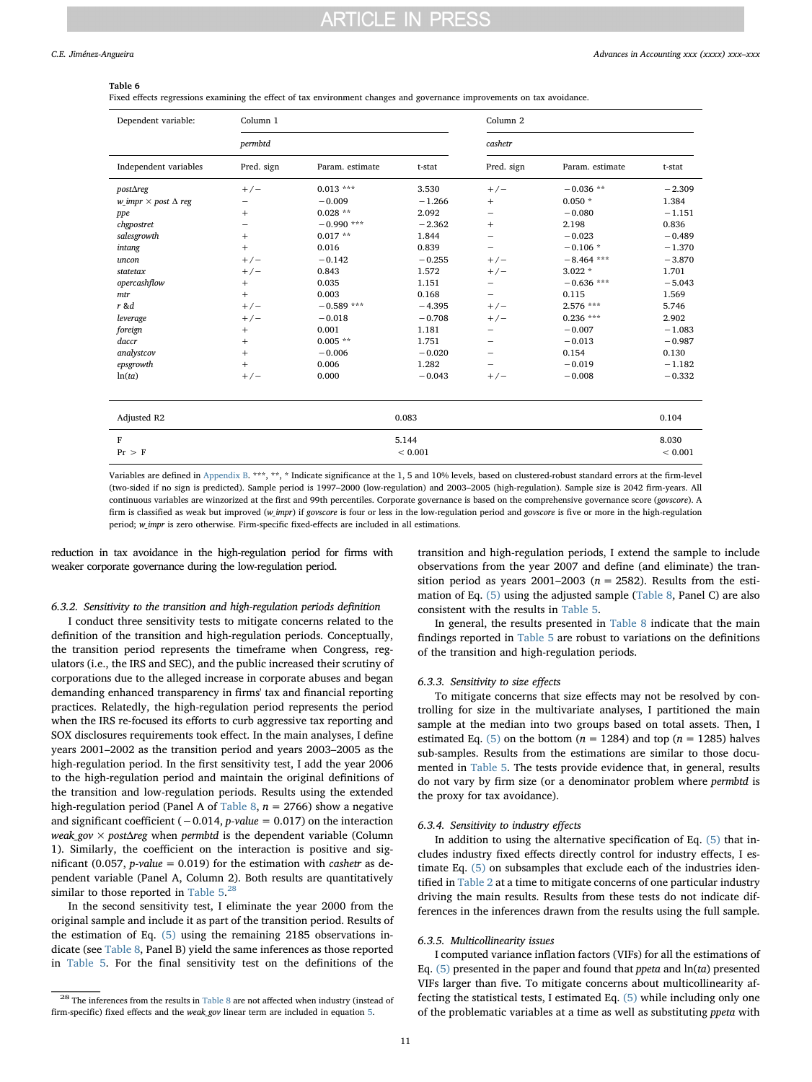### <span id="page-10-0"></span>Table 6

Fixed effects regressions examining the effect of tax environment changes and governance improvements on tax avoidance.

| Dependent variable:               | Column 1   |                 |                      | Column <sub>2</sub>      |                 |                      |
|-----------------------------------|------------|-----------------|----------------------|--------------------------|-----------------|----------------------|
|                                   | permbtd    |                 |                      | cashetr                  |                 |                      |
| Independent variables             | Pred. sign | Param. estimate | t-stat               | Pred. sign               | Param. estimate | t-stat               |
| post∆reg                          | $+/-$      | $0.013***$      | 3.530                | $+/-$                    | $-0.036$ **     | $-2.309$             |
| w impr $\times$ post $\Delta$ reg |            | $-0.009$        | $-1.266$             | $^{+}$                   | $0.050*$        | 1.384                |
| ppe                               | $^{+}$     | $0.028**$       | 2.092                | -                        | $-0.080$        | $-1.151$             |
| chgpostret                        |            | $-0.990$ ***    | $-2.362$             | $+$                      | 2.198           | 0.836                |
| salesgrowth                       | $^{+}$     | $0.017**$       | 1.844                |                          | $-0.023$        | $-0.489$             |
| intang                            | $^{+}$     | 0.016           | 0.839                | $\overline{\phantom{0}}$ | $-0.106*$       | $-1.370$             |
| uncon                             | $+/-$      | $-0.142$        | $-0.255$             | $+/-$                    | $-8.464$ ***    | $-3.870$             |
| statetax                          | $+/-$      | 0.843           | 1.572                | $+/-$                    | $3.022*$        | 1.701                |
| opercashflow                      | $^{+}$     | 0.035           | 1.151                |                          | $-0.636$ ***    | $-5.043$             |
| mtr                               | $^{+}$     | 0.003           | 0.168                | $\overline{\phantom{0}}$ | 0.115           | 1.569                |
| $r$ & $d$                         | $+/-$      | $-0.589$ ***    | $-4.395$             | $+/-$                    | 2.576 ***       | 5.746                |
| leverage                          | $+/-$      | $-0.018$        | $-0.708$             | $+/-$                    | $0.236***$      | 2.902                |
| foreign                           | $^{+}$     | 0.001           | 1.181                | -                        | $-0.007$        | $-1.083$             |
| daccr                             | $^{+}$     | $0.005**$       | 1.751                | $\overline{\phantom{0}}$ | $-0.013$        | $-0.987$             |
| analystcov                        | $^{+}$     | $-0.006$        | $-0.020$             | -                        | 0.154           | 0.130                |
| epsgrowth                         | $+$        | 0.006           | 1.282                | -                        | $-0.019$        | $-1.182$             |
| ln(ta)                            | $+/-$      | 0.000           | $-0.043$             | $+/-$                    | $-0.008$        | $-0.332$             |
| Adjusted R2                       |            |                 | 0.083                |                          |                 | 0.104                |
| F<br>$Pr$ > F                     |            |                 | 5.144<br>${}< 0.001$ |                          |                 | 8.030<br>${}< 0.001$ |

Variables are defined in [Appendix B.](#page-16-16) \*\*\*, \*\*, \* Indicate significance at the 1, 5 and 10% levels, based on clustered-robust standard errors at the firm-level (two-sided if no sign is predicted). Sample period is 1997–2000 (low-regulation) and 2003–2005 (high-regulation). Sample size is 2042 firm-years. All continuous variables are winzorized at the first and 99th percentiles. Corporate governance is based on the comprehensive governance score (govscore). A firm is classified as weak but improved (w\_impr) if govscore is four or less in the low-regulation period and govscore is five or more in the high-regulation period; w impr is zero otherwise. Firm-specific fixed-effects are included in all estimations.

reduction in tax avoidance in the high-regulation period for firms with weaker corporate governance during the low-regulation period.

## 6.3.2. Sensitivity to the transition and high-regulation periods definition

I conduct three sensitivity tests to mitigate concerns related to the definition of the transition and high-regulation periods. Conceptually, the transition period represents the timeframe when Congress, regulators (i.e., the IRS and SEC), and the public increased their scrutiny of corporations due to the alleged increase in corporate abuses and began demanding enhanced transparency in firms' tax and financial reporting practices. Relatedly, the high-regulation period represents the period when the IRS re-focused its efforts to curb aggressive tax reporting and SOX disclosures requirements took effect. In the main analyses, I define years 2001–2002 as the transition period and years 2003–2005 as the high-regulation period. In the first sensitivity test, I add the year 2006 to the high-regulation period and maintain the original definitions of the transition and low-regulation periods. Results using the extended high-regulation period (Panel A of [Table 8](#page-12-0),  $n = 2766$ ) show a negative and significant coefficient ( $-0.014$ , *p-value* = 0.017) on the interaction  $weak\_gov \times post\Delta reg$  when permbtd is the dependent variable (Column 1). Similarly, the coefficient on the interaction is positive and significant (0.057, *p-value* = 0.019) for the estimation with *cashetr* as dependent variable (Panel A, Column 2). Both results are quantitatively similar to those reported in Table  $5.^{28}$  $5.^{28}$  $5.^{28}$ 

In the second sensitivity test, I eliminate the year 2000 from the original sample and include it as part of the transition period. Results of the estimation of Eq. [\(5\)](#page-5-1) using the remaining 2185 observations indicate (see [Table 8,](#page-12-0) Panel B) yield the same inferences as those reported in [Table 5.](#page-9-0) For the final sensitivity test on the definitions of the

<span id="page-10-1"></span><sup>28</sup> The inferences from the results in [Table 8](#page-12-0) are not affected when industry (instead of firm-specific) fixed effects and the weak\_gov linear term are included in equation [5](#page-5-1).

transition and high-regulation periods, I extend the sample to include observations from the year 2007 and define (and eliminate) the transition period as years 2001–2003 ( $n = 2582$ ). Results from the estimation of Eq. [\(5\)](#page-5-1) using the adjusted sample ([Table 8](#page-12-0), Panel C) are also consistent with the results in [Table 5.](#page-9-0)

In general, the results presented in [Table 8](#page-12-0) indicate that the main findings reported in [Table 5](#page-9-0) are robust to variations on the definitions of the transition and high-regulation periods.

## 6.3.3. Sensitivity to size effects

To mitigate concerns that size effects may not be resolved by controlling for size in the multivariate analyses, I partitioned the main sample at the median into two groups based on total assets. Then, I estimated Eq. [\(5\)](#page-5-1) on the bottom ( $n = 1284$ ) and top ( $n = 1285$ ) halves sub-samples. Results from the estimations are similar to those documented in [Table 5](#page-9-0). The tests provide evidence that, in general, results do not vary by firm size (or a denominator problem where permbtd is the proxy for tax avoidance).

#### 6.3.4. Sensitivity to industry effects

In addition to using the alternative specification of Eq. [\(5\)](#page-5-1) that includes industry fixed effects directly control for industry effects, I estimate Eq. [\(5\)](#page-5-1) on subsamples that exclude each of the industries identified in [Table 2](#page-7-0) at a time to mitigate concerns of one particular industry driving the main results. Results from these tests do not indicate differences in the inferences drawn from the results using the full sample.

#### 6.3.5. Multicollinearity issues

I computed variance inflation factors (VIFs) for all the estimations of Eq.  $(5)$  presented in the paper and found that *ppeta* and  $ln(ta)$  presented VIFs larger than five. To mitigate concerns about multicollinearity affecting the statistical tests, I estimated Eq. [\(5\)](#page-5-1) while including only one of the problematic variables at a time as well as substituting ppeta with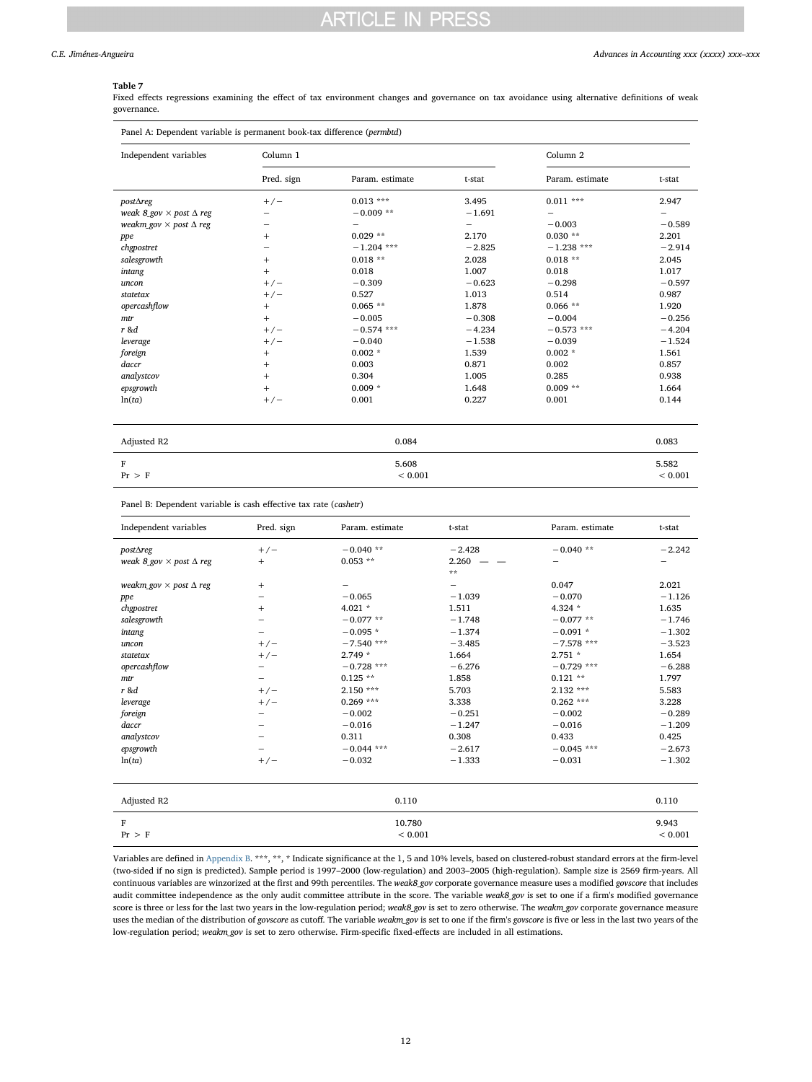# <span id="page-11-0"></span>Table 7

Fixed effects regressions examining the effect of tax environment changes and governance on tax avoidance using alternative definitions of weak governance.

|                                             |            |                  | Column <sub>2</sub> |                 |                      |
|---------------------------------------------|------------|------------------|---------------------|-----------------|----------------------|
|                                             | Pred. sign | Param. estimate  | t-stat              | Param. estimate | t-stat               |
| post∆reg                                    | $+/-$      | $0.013***$       | 3.495               | $0.011***$      | 2.947                |
| weak $8_{.}$ gov $\times$ post $\Delta$ reg |            | $-0.009**$       | $-1.691$            |                 | -                    |
| weakm_gov $\times$ post $\Delta$ reg        |            |                  | -                   | $-0.003$        | $-0.589$             |
| ppe                                         | $^{+}$     | $0.029**$        | 2.170               | $0.030**$       | 2.201                |
| chgpostret                                  |            | $-1.204$ ***     | $-2.825$            | $-1.238$ ***    | $-2.914$             |
| salesgrowth                                 | $^{+}$     | $0.018**$        | 2.028               | $0.018**$       | 2.045                |
| intang                                      | $+$        | 0.018            | 1.007               | 0.018           | 1.017                |
| uncon                                       | $+/-$      | $-0.309$         | $-0.623$            | $-0.298$        | $-0.597$             |
| statetax                                    | $+/-$      | 0.527            | 1.013               | 0.514           | 0.987                |
| opercashflow                                | $^{+}$     | $0.065**$        | 1.878               | $0.066**$       | 1.920                |
| mtr                                         | $+$        | $-0.005$         | $-0.308$            | $-0.004$        | $-0.256$             |
| $r$ & $d$                                   | $+/-$      | $-0.574$ ***     | $-4.234$            | $-0.573$ ***    | $-4.204$             |
| leverage                                    | $+/-$      | $-0.040$         | $-1.538$            | $-0.039$        | $-1.524$             |
| foreign                                     | $^{+}$     | $0.002*$         | 1.539               | $0.002 *$       | 1.561                |
| daccr                                       | $^{+}$     | 0.003            | 0.871               | 0.002           | 0.857                |
| analystcov                                  | $^{+}$     | 0.304            | 1.005               | 0.285           | 0.938                |
| epsgrowth                                   | $^{+}$     | $0.009*$         | 1.648               | $0.009**$       | 1.664                |
| ln(ta)                                      | $+/-$      | 0.001            | 0.227               | 0.001           | 0.144                |
| Adjusted R2                                 |            | 0.084            |                     |                 | 0.083                |
| F<br>$Pr$ > F                               |            | 5.608<br>< 0.001 |                     |                 | 5.582<br>${}< 0.001$ |

Panel B: Dependent variable is cash effective tax rate (cashetr)

| Independent variables                 | Pred. sign | Param. estimate | t-stat          | Param, estimate | t-stat      |
|---------------------------------------|------------|-----------------|-----------------|-----------------|-------------|
| $post\Delta reg$                      | $+/-$      | $-0.040**$      | $-2.428$        | $-0.040**$      | $-2.242$    |
| weak 8_gov $\times$ post $\Delta$ reg | $+$        | $0.053$ **      | 2.260           |                 |             |
|                                       |            |                 | $\star$ $\star$ |                 |             |
| weakm_gov $\times$ post $\Delta$ reg  | $^{+}$     |                 | -               | 0.047           | 2.021       |
| ppe                                   |            | $-0.065$        | $-1.039$        | $-0.070$        | $-1.126$    |
| chgpostret                            | $^{+}$     | $4.021 *$       | 1.511           | 4.324 $*$       | 1.635       |
| salesgrowth                           |            | $-0.077**$      | $-1.748$        | $-0.077**$      | $-1.746$    |
| intang                                |            | $-0.095*$       | $-1.374$        | $-0.091*$       | $-1.302$    |
| uncon                                 | $+/-$      | $-7.540$ ***    | $-3.485$        | $-7.578$ ***    | $-3.523$    |
| statetax                              | $+/-$      | $2.749*$        | 1.664           | $2.751*$        | 1.654       |
| opercashflow                          |            | $-0.728$ ***    | $-6.276$        | $-0.729$ ***    | $-6.288$    |
| mtr                                   |            | $0.125**$       | 1.858           | $0.121**$       | 1.797       |
| $r$ &d                                | $+/-$      | $2.150***$      | 5.703           | $2.132***$      | 5.583       |
| leverage                              | $+/-$      | $0.269$ ***     | 3.338           | $0.262$ ***     | 3.228       |
| foreign                               |            | $-0.002$        | $-0.251$        | $-0.002$        | $-0.289$    |
| daccr                                 |            | $-0.016$        | $-1.247$        | $-0.016$        | $-1.209$    |
| analystcov                            |            | 0.311           | 0.308           | 0.433           | 0.425       |
| epsgrowth                             |            | $-0.044$ ***    | $-2.617$        | $-0.045$ ***    | $-2.673$    |
| ln(ta)                                | $+/-$      | $-0.032$        | $-1.333$        | $-0.031$        | $-1.302$    |
| Adjusted R2                           |            | 0.110           |                 |                 | 0.110       |
|                                       |            |                 |                 |                 |             |
| $\mathbf{F}$                          |            | 10.780          |                 |                 | 9.943       |
| $Pr$ > F                              |            | ${}< 0.001$     |                 |                 | ${}< 0.001$ |

Variables are defined in [Appendix B.](#page-16-16) \*\*\*, \*\*, \* Indicate significance at the 1, 5 and 10% levels, based on clustered-robust standard errors at the firm-level (two-sided if no sign is predicted). Sample period is 1997–2000 (low-regulation) and 2003–2005 (high-regulation). Sample size is 2569 firm-years. All continuous variables are winzorized at the first and 99th percentiles. The weak8\_gov corporate governance measure uses a modified govscore that includes audit committee independence as the only audit committee attribute in the score. The variable weak8\_gov is set to one if a firm's modified governance score is three or less for the last two years in the low-regulation period; weak8\_gov is set to zero otherwise. The weakm\_gov corporate governance measure uses the median of the distribution of govscore as cutoff. The variable weakm gov is set to one if the firm's govscore is five or less in the last two years of the low-regulation period; weakm\_gov is set to zero otherwise. Firm-specific fixed-effects are included in all estimations.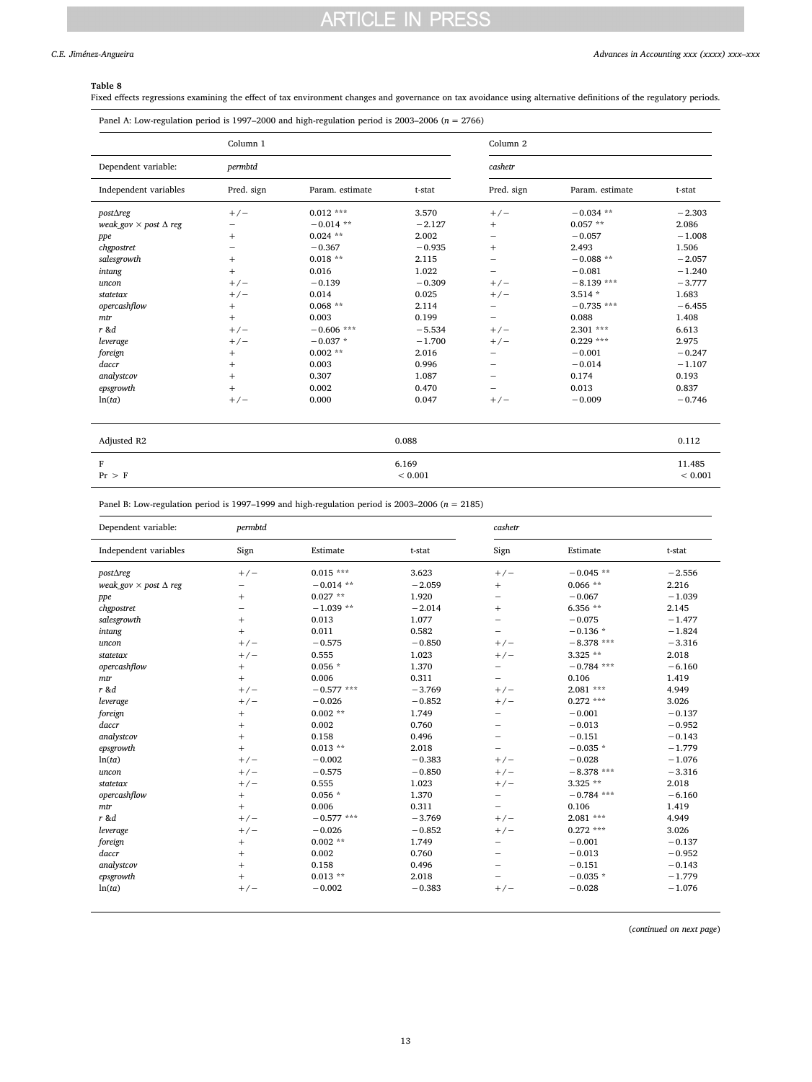# <span id="page-12-0"></span>Table 8

Fixed effects regressions examining the effect of tax environment changes and governance on tax avoidance using alternative definitions of the regulatory periods.

Panel A: Low-regulation period is 1997–2000 and high-regulation period is 2003–2006 ( $n = 2766$ )

|                                     | Column 1                 |                 |          | Column 2   |                 |          |  |  |  |
|-------------------------------------|--------------------------|-----------------|----------|------------|-----------------|----------|--|--|--|
| Dependent variable:                 | permbtd                  |                 |          | cashetr    |                 |          |  |  |  |
| Independent variables               | Pred. sign               | Param. estimate | t-stat   | Pred. sign | Param. estimate | t-stat   |  |  |  |
| $post\Delta reg$                    | $+/-$                    | $0.012$ ***     | 3.570    | $+/-$      | $-0.034**$      | $-2.303$ |  |  |  |
| weak_gov $\times$ post $\Delta$ reg | $\overline{\phantom{0}}$ | $-0.014**$      | $-2.127$ | $^{+}$     | $0.057**$       | 2.086    |  |  |  |
| ppe                                 | $^{+}$                   | $0.024$ **      | 2.002    | -          | $-0.057$        | $-1.008$ |  |  |  |
| chgpostret                          | $\overline{\phantom{0}}$ | $-0.367$        | $-0.935$ | $^{+}$     | 2.493           | 1.506    |  |  |  |
| salesgrowth                         | $^{+}$                   | $0.018**$       | 2.115    | -          | $-0.088**$      | $-2.057$ |  |  |  |
| intang                              | $+$                      | 0.016           | 1.022    | -          | $-0.081$        | $-1.240$ |  |  |  |
| uncon                               | $+/-$                    | $-0.139$        | $-0.309$ | $+/-$      | $-8.139$ ***    | $-3.777$ |  |  |  |
| statetax                            | $+/-$                    | 0.014           | 0.025    | $+/-$      | $3.514*$        | 1.683    |  |  |  |
| opercashflow                        | $\qquad \qquad +$        | $0.068**$       | 2.114    | -          | $-0.735$ ***    | $-6.455$ |  |  |  |
| mtr                                 | $+$                      | 0.003           | 0.199    | -          | 0.088           | 1.408    |  |  |  |
| $r$ & $d$                           | $+/-$                    | $-0.606$ ***    | $-5.534$ | $+/-$      | $2.301$ ***     | 6.613    |  |  |  |
| leverage                            | $+/-$                    | $-0.037*$       | $-1.700$ | $+/-$      | $0.229$ ***     | 2.975    |  |  |  |
| foreign                             | $+$                      | $0.002$ **      | 2.016    | -          | $-0.001$        | $-0.247$ |  |  |  |
| daccr                               | $+$                      | 0.003           | 0.996    | -          | $-0.014$        | $-1.107$ |  |  |  |
| analystcov                          | $+$                      | 0.307           | 1.087    | -          | 0.174           | 0.193    |  |  |  |
| epsgrowth                           | $+$                      | 0.002           | 0.470    |            | 0.013           | 0.837    |  |  |  |
| ln(ta)                              | $+/-$                    | 0.000           | 0.047    | $+/-$      | $-0.009$        | $-0.746$ |  |  |  |
| Adjusted R2                         |                          |                 | 0.088    |            |                 | 0.112    |  |  |  |
| F                                   | 6.169                    |                 |          |            |                 | 11.485   |  |  |  |
| $Pr$ > F                            | ${}< 0.001$              |                 |          |            |                 |          |  |  |  |

Panel B: Low-regulation period is 1997–1999 and high-regulation period is 2003–2006 ( $n = 2185$ )

| Dependent variable:                 | permbtd |              |          | cashetr                  |              |          |  |  |
|-------------------------------------|---------|--------------|----------|--------------------------|--------------|----------|--|--|
| Independent variables               | Sign    | Estimate     | t-stat   | Sign                     | Estimate     | t-stat   |  |  |
| $post\Delta reg$                    | $+/-$   | $0.015***$   | 3.623    | $+/-$                    | $-0.045**$   | $-2.556$ |  |  |
| weak_gov $\times$ post $\Delta$ reg |         | $-0.014**$   | $-2.059$ | $+$                      | $0.066$ **   | 2.216    |  |  |
| ppe                                 | $+$     | $0.027**$    | 1.920    | -                        | $-0.067$     | $-1.039$ |  |  |
| chgpostret                          | -       | $-1.039**$   | $-2.014$ | $^{+}$                   | $6.356**$    | 2.145    |  |  |
| salesgrowth                         | $^{+}$  | 0.013        | 1.077    | -                        | $-0.075$     | $-1.477$ |  |  |
| intang                              | $^{+}$  | 0.011        | 0.582    | -                        | $-0.136*$    | $-1.824$ |  |  |
| uncon                               | $+/-$   | $-0.575$     | $-0.850$ | $+/-$                    | $-8.378$ *** | $-3.316$ |  |  |
| statetax                            | $+/-$   | 0.555        | 1.023    | $+/-$                    | 3.325 **     | 2.018    |  |  |
| opercashflow                        | $^{+}$  | $0.056*$     | 1.370    | $\overline{\phantom{0}}$ | $-0.784$ *** | $-6.160$ |  |  |
| mtr                                 | $^{+}$  | 0.006        | 0.311    | $\overline{\phantom{0}}$ | 0.106        | 1.419    |  |  |
| $r$ &d                              | $+/-$   | $-0.577$ *** | $-3.769$ | $+/-$                    | $2.081***$   | 4.949    |  |  |
| leverage                            | $+/-$   | $-0.026$     | $-0.852$ | $+/-$                    | $0.272$ ***  | 3.026    |  |  |
| foreign                             | $^{+}$  | $0.002**$    | 1.749    | -                        | $-0.001$     | $-0.137$ |  |  |
| daccr                               | $+$     | 0.002        | 0.760    | -                        | $-0.013$     | $-0.952$ |  |  |
| analystcov                          | $+$     | 0.158        | 0.496    | $\overline{\phantom{0}}$ | $-0.151$     | $-0.143$ |  |  |
| epsgrowth                           | $^{+}$  | $0.013**$    | 2.018    | $\overline{\phantom{0}}$ | $-0.035*$    | $-1.779$ |  |  |
| ln(ta)                              | $+/-$   | $-0.002$     | $-0.383$ | $+/-$                    | $-0.028$     | $-1.076$ |  |  |
| uncon                               | $+/-$   | $-0.575$     | $-0.850$ | $+/-$                    | $-8.378$ *** | $-3.316$ |  |  |
| statetax                            | $+/-$   | 0.555        | 1.023    | $+/-$                    | $3.325**$    | 2.018    |  |  |
| opercashflow                        | $^{+}$  | $0.056 *$    | 1.370    | $\overline{\phantom{0}}$ | $-0.784$ *** | $-6.160$ |  |  |
| mtr                                 | $^{+}$  | 0.006        | 0.311    | $\overline{\phantom{0}}$ | 0.106        | 1.419    |  |  |
| $r$ &d                              | $+/-$   | $-0.577$ *** | $-3.769$ | $+/-$                    | $2.081***$   | 4.949    |  |  |
| leverage                            | $+/-$   | $-0.026$     | $-0.852$ | $+/-$                    | $0.272$ ***  | 3.026    |  |  |
| foreign                             | $+$     | $0.002**$    | 1.749    | $\overline{\phantom{0}}$ | $-0.001$     | $-0.137$ |  |  |
| daccr                               | $+$     | 0.002        | 0.760    | $\overline{\phantom{0}}$ | $-0.013$     | $-0.952$ |  |  |
| analystcov                          | $+$     | 0.158        | 0.496    | -                        | $-0.151$     | $-0.143$ |  |  |
| epsgrowth                           | $+$     | $0.013**$    | 2.018    | $\overline{\phantom{0}}$ | $-0.035*$    | $-1.779$ |  |  |
| ln(ta)                              | $+/-$   | $-0.002$     | $-0.383$ | $+/-$                    | $-0.028$     | $-1.076$ |  |  |

(continued on next page)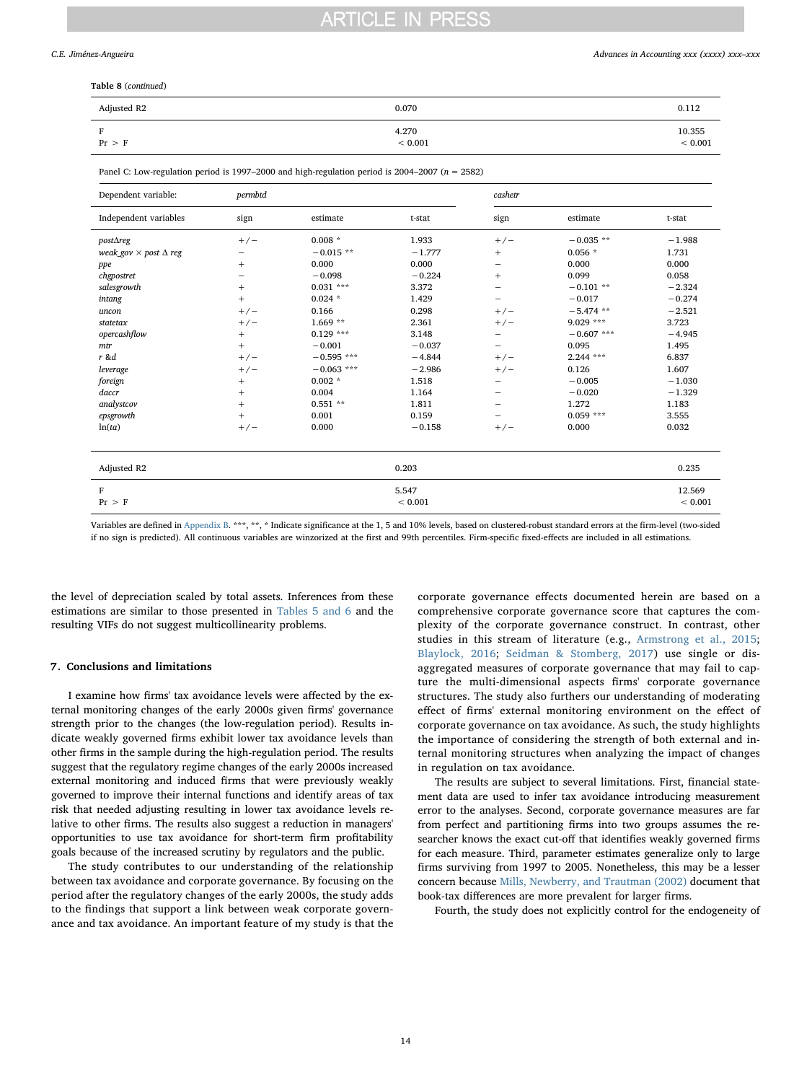#### C.E. Jiménez-Angueira *Advances in Accounting xxx (xxxx) xxx–xxx*

#### Table 8 (continued)

| Adjusted R2 | 0.070       | 0.112   |
|-------------|-------------|---------|
| F           | 4.270       | 10.355  |
| $Pr$ > F    | ${}< 0.001$ | < 0.001 |

Panel C: Low-regulation period is 1997–2000 and high-regulation period is 2004–2007 ( $n = 2582$ )

| Dependent variable:                 | permbtd |              |                  | cashetr                  |              |                       |
|-------------------------------------|---------|--------------|------------------|--------------------------|--------------|-----------------------|
| Independent variables               | sign    | estimate     | t-stat           | sign                     | estimate     | t-stat                |
| $post\Delta reg$                    | $+/-$   | $0.008 *$    | 1.933            | $+/-$                    | $-0.035**$   | $-1.988$              |
| weak_gov $\times$ post $\Delta$ reg |         | $-0.015**$   | $-1.777$         | $^{+}$                   | $0.056*$     | 1.731                 |
| ppe                                 | $^{+}$  | 0.000        | 0.000            | -                        | 0.000        | 0.000                 |
| chgpostret                          |         | $-0.098$     | $-0.224$         | $+$                      | 0.099        | 0.058                 |
| salesgrowth                         | $^{+}$  | $0.031***$   | 3.372            | -                        | $-0.101**$   | $-2.324$              |
| intang                              | $^{+}$  | $0.024 *$    | 1.429            | $\overline{\phantom{0}}$ | $-0.017$     | $-0.274$              |
| uncon                               | $+/-$   | 0.166        | 0.298            | $+/-$                    | $-5.474$ **  | $-2.521$              |
| statetax                            | $+/-$   | $1.669**$    | 2.361            | $+/-$                    | 9.029 ***    | 3.723                 |
| opercashflow                        | $^{+}$  | $0.129***$   | 3.148            | -                        | $-0.607$ *** | $-4.945$              |
| mtr                                 | $^{+}$  | $-0.001$     | $-0.037$         | $\overline{\phantom{0}}$ | 0.095        | 1.495                 |
| $r$ & $d$                           | $+/-$   | $-0.595$ *** | $-4.844$         | $+/-$                    | $2.244$ ***  | 6.837                 |
| leverage                            | $+/-$   | $-0.063$ *** | $-2.986$         | $+/-$                    | 0.126        | 1.607                 |
| foreign                             | $^{+}$  | $0.002 *$    | 1.518            | -                        | $-0.005$     | $-1.030$              |
| daccr                               | $^{+}$  | 0.004        | 1.164            | $\overline{\phantom{0}}$ | $-0.020$     | $-1.329$              |
| analystcov                          | $+$     | $0.551**$    | 1.811            | -                        | 1.272        | 1.183                 |
| epsgrowth                           | $+$     | 0.001        | 0.159            | $\qquad \qquad -$        | $0.059***$   | 3.555                 |
| ln(ta)                              | $+/-$   | 0.000        | $-0.158$         | $+/-$                    | 0.000        | 0.032                 |
| Adjusted R2                         |         |              | 0.203            |                          |              | 0.235                 |
| $\rm F$<br>$Pr$ > F                 |         |              | 5.547<br>< 0.001 |                          |              | 12.569<br>${}< 0.001$ |

Variables are defined in [Appendix B.](#page-16-16) \*\*\*, \*\*, \* Indicate significance at the 1, 5 and 10% levels, based on clustered-robust standard errors at the firm-level (two-sided if no sign is predicted). All continuous variables are winzorized at the first and 99th percentiles. Firm-specific fixed-effects are included in all estimations.

the level of depreciation scaled by total assets. Inferences from these estimations are similar to those presented in [Tables 5 and 6](#page-9-0) and the resulting VIFs do not suggest multicollinearity problems.

#### 7. Conclusions and limitations

I examine how firms' tax avoidance levels were affected by the external monitoring changes of the early 2000s given firms' governance strength prior to the changes (the low-regulation period). Results indicate weakly governed firms exhibit lower tax avoidance levels than other firms in the sample during the high-regulation period. The results suggest that the regulatory regime changes of the early 2000s increased external monitoring and induced firms that were previously weakly governed to improve their internal functions and identify areas of tax risk that needed adjusting resulting in lower tax avoidance levels relative to other firms. The results also suggest a reduction in managers' opportunities to use tax avoidance for short-term firm profitability goals because of the increased scrutiny by regulators and the public.

The study contributes to our understanding of the relationship between tax avoidance and corporate governance. By focusing on the period after the regulatory changes of the early 2000s, the study adds to the findings that support a link between weak corporate governance and tax avoidance. An important feature of my study is that the

corporate governance effects documented herein are based on a comprehensive corporate governance score that captures the complexity of the corporate governance construct. In contrast, other studies in this stream of literature (e.g., [Armstrong et al., 2015](#page-16-3); [Blaylock, 2016](#page-16-4); [Seidman & Stomberg, 2017\)](#page-17-7) use single or disaggregated measures of corporate governance that may fail to capture the multi-dimensional aspects firms' corporate governance structures. The study also furthers our understanding of moderating effect of firms' external monitoring environment on the effect of corporate governance on tax avoidance. As such, the study highlights the importance of considering the strength of both external and internal monitoring structures when analyzing the impact of changes in regulation on tax avoidance.

The results are subject to several limitations. First, financial statement data are used to infer tax avoidance introducing measurement error to the analyses. Second, corporate governance measures are far from perfect and partitioning firms into two groups assumes the researcher knows the exact cut-off that identifies weakly governed firms for each measure. Third, parameter estimates generalize only to large firms surviving from 1997 to 2005. Nonetheless, this may be a lesser concern because [Mills, Newberry, and Trautman \(2002\)](#page-17-53) document that book-tax differences are more prevalent for larger firms.

Fourth, the study does not explicitly control for the endogeneity of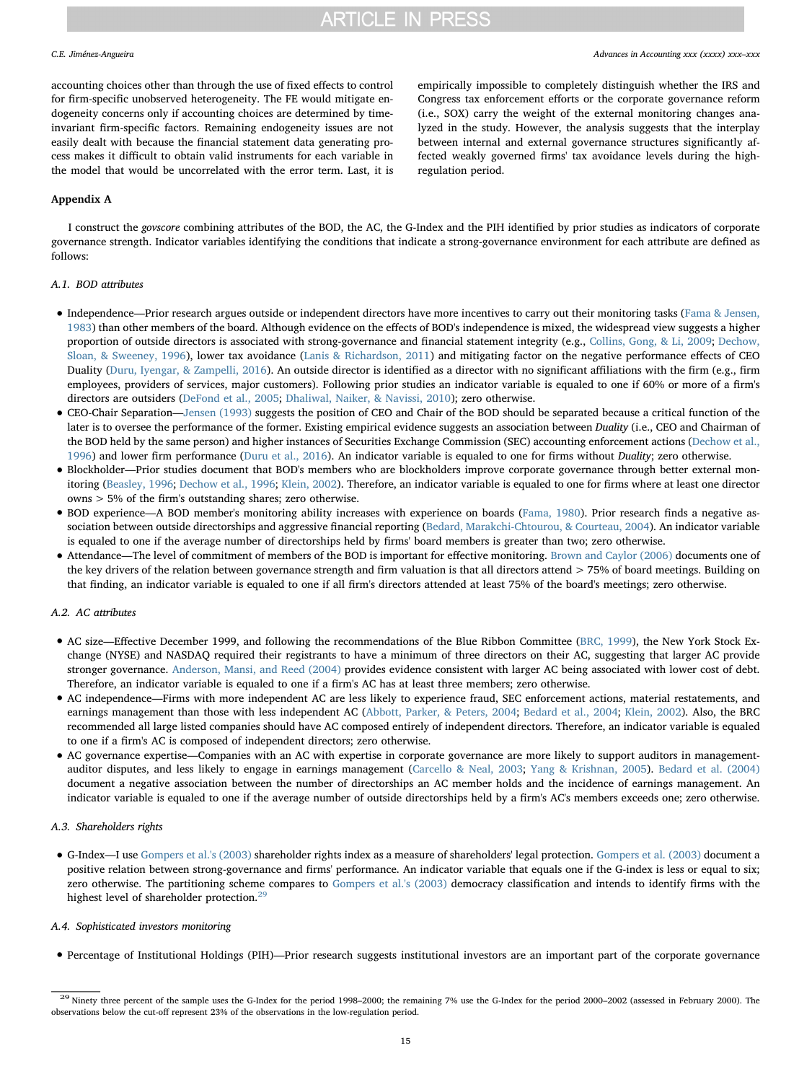C.E. Jiménez-Angueira *Advances in Accounting xxx (xxxx) xxx–xxx*

accounting choices other than through the use of fixed effects to control for firm-specific unobserved heterogeneity. The FE would mitigate endogeneity concerns only if accounting choices are determined by timeinvariant firm-specific factors. Remaining endogeneity issues are not easily dealt with because the financial statement data generating process makes it difficult to obtain valid instruments for each variable in the model that would be uncorrelated with the error term. Last, it is

empirically impossible to completely distinguish whether the IRS and Congress tax enforcement efforts or the corporate governance reform (i.e., SOX) carry the weight of the external monitoring changes analyzed in the study. However, the analysis suggests that the interplay between internal and external governance structures significantly affected weakly governed firms' tax avoidance levels during the highregulation period.

## <span id="page-14-0"></span>Appendix A

I construct the govscore combining attributes of the BOD, the AC, the G-Index and the PIH identified by prior studies as indicators of corporate governance strength. Indicator variables identifying the conditions that indicate a strong-governance environment for each attribute are defined as follows:

## A.1. BOD attributes

- Independence—Prior research argues outside or independent directors have more incentives to carry out their monitoring tasks [\(Fama & Jensen,](#page-17-54) [1983](#page-17-54)) than other members of the board. Although evidence on the effects of BOD's independence is mixed, the widespread view suggests a higher proportion of outside directors is associated with strong-governance and financial statement integrity (e.g., [Collins, Gong, & Li, 2009](#page-16-18); [Dechow,](#page-16-19) [Sloan, & Sweeney, 1996\)](#page-16-19), lower tax avoidance [\(Lanis & Richardson, 2011\)](#page-17-6) and mitigating factor on the negative performance effects of CEO Duality ([Duru, Iyengar, & Zampelli, 2016\)](#page-17-55). An outside director is identified as a director with no significant affiliations with the firm (e.g., firm employees, providers of services, major customers). Following prior studies an indicator variable is equaled to one if 60% or more of a firm's directors are outsiders [\(DeFond et al., 2005;](#page-16-12) [Dhaliwal, Naiker, & Navissi, 2010\)](#page-17-56); zero otherwise.
- CEO-Chair Separation—[Jensen \(1993\)](#page-17-57) suggests the position of CEO and Chair of the BOD should be separated because a critical function of the later is to oversee the performance of the former. Existing empirical evidence suggests an association between Duality (i.e., CEO and Chairman of the BOD held by the same person) and higher instances of Securities Exchange Commission (SEC) accounting enforcement actions ([Dechow et al.,](#page-16-19) [1996](#page-16-19)) and lower firm performance [\(Duru et al., 2016](#page-17-55)). An indicator variable is equaled to one for firms without Duality; zero otherwise.
- Blockholder—Prior studies document that BOD's members who are blockholders improve corporate governance through better external monitoring [\(Beasley, 1996](#page-16-20); [Dechow et al., 1996](#page-16-19); [Klein, 2002](#page-17-58)). Therefore, an indicator variable is equaled to one for firms where at least one director owns > 5% of the firm's outstanding shares; zero otherwise.
- BOD experience—A BOD member's monitoring ability increases with experience on boards [\(Fama, 1980\)](#page-17-59). Prior research finds a negative as-sociation between outside directorships and aggressive financial reporting ([Bedard, Marakchi-Chtourou, & Courteau, 2004\)](#page-16-21). An indicator variable is equaled to one if the average number of directorships held by firms' board members is greater than two; zero otherwise.
- Attendance—The level of commitment of members of the BOD is important for effective monitoring. [Brown and Caylor \(2006\)](#page-16-5) documents one of the key drivers of the relation between governance strength and firm valuation is that all directors attend > 75% of board meetings. Building on that finding, an indicator variable is equaled to one if all firm's directors attended at least 75% of the board's meetings; zero otherwise.

### A.2. AC attributes

- AC size—Effective December 1999, and following the recommendations of the Blue Ribbon Committee ([BRC, 1999\)](#page-16-22), the New York Stock Exchange (NYSE) and NASDAQ required their registrants to have a minimum of three directors on their AC, suggesting that larger AC provide stronger governance. [Anderson, Mansi, and Reed \(2004\)](#page-16-23) provides evidence consistent with larger AC being associated with lower cost of debt. Therefore, an indicator variable is equaled to one if a firm's AC has at least three members; zero otherwise.
- AC independence—Firms with more independent AC are less likely to experience fraud, SEC enforcement actions, material restatements, and earnings management than those with less independent AC ([Abbott, Parker, & Peters, 2004;](#page-16-24) [Bedard et al., 2004](#page-16-21); [Klein, 2002\)](#page-17-58). Also, the BRC recommended all large listed companies should have AC composed entirely of independent directors. Therefore, an indicator variable is equaled to one if a firm's AC is composed of independent directors; zero otherwise.
- AC governance expertise—Companies with an AC with expertise in corporate governance are more likely to support auditors in managementauditor disputes, and less likely to engage in earnings management ([Carcello & Neal, 2003;](#page-16-25) [Yang & Krishnan, 2005\)](#page-17-60). [Bedard et al. \(2004\)](#page-16-21) document a negative association between the number of directorships an AC member holds and the incidence of earnings management. An indicator variable is equaled to one if the average number of outside directorships held by a firm's AC's members exceeds one; zero otherwise.

## A.3. Shareholders rights

• G-Index—I use [Gompers et al.'s \(2003\)](#page-17-38) shareholder rights index as a measure of shareholders' legal protection. [Gompers et al. \(2003\)](#page-17-38) document a positive relation between strong-governance and firms' performance. An indicator variable that equals one if the G-index is less or equal to six; zero otherwise. The partitioning scheme compares to [Gompers et al.'s \(2003\)](#page-17-38) democracy classification and intends to identify firms with the highest level of shareholder protection.<sup>[29](#page-14-1)</sup>

## A.4. Sophisticated investors monitoring

• Percentage of Institutional Holdings (PIH)—Prior research suggests institutional investors are an important part of the corporate governance

<span id="page-14-1"></span><sup>&</sup>lt;sup>29</sup> Ninety three percent of the sample uses the G-Index for the period 1998–2000; the remaining 7% use the G-Index for the period 2000–2002 (assessed in February 2000). The observations below the cut-off represent 23% of the observations in the low-regulation period.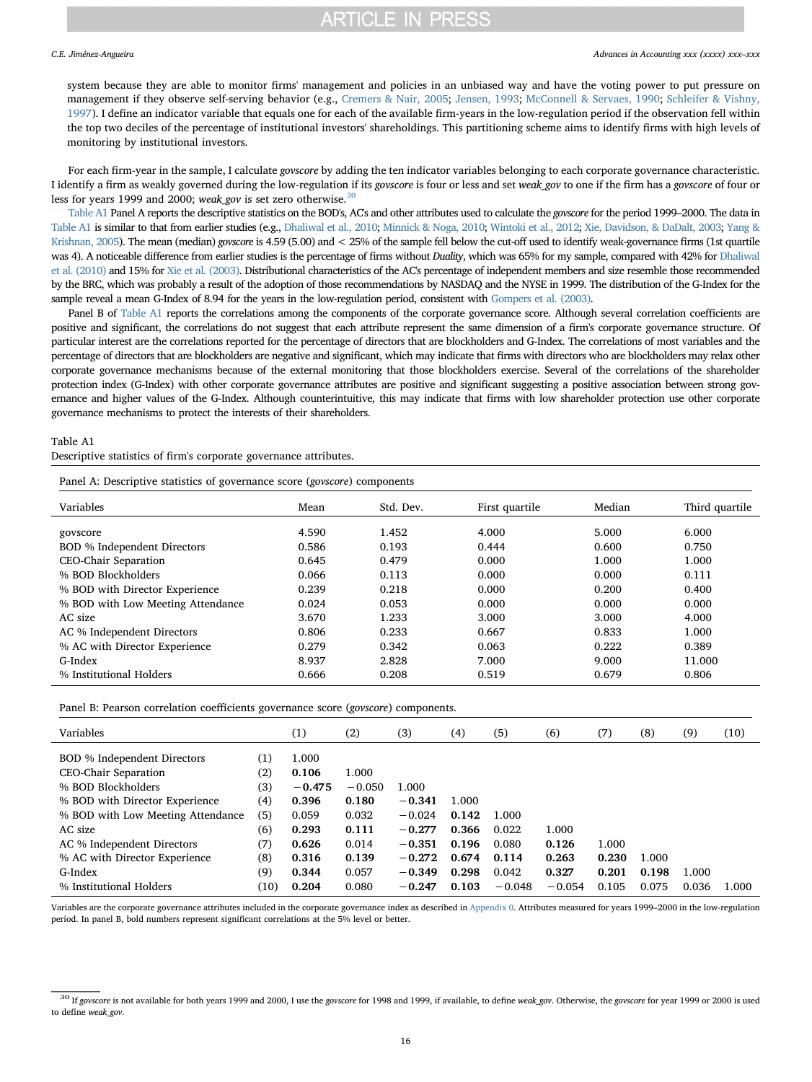# ARTICI F IN PRFSS

system because they are able to monitor firms' management and policies in an unbiased way and have the voting power to put pressure on management if they observe self-serving behavior (e.g., [Cremers & Nair, 2005](#page-16-6); [Jensen, 1993;](#page-17-57) [McConnell & Servaes, 1990](#page-17-61); [Schleifer & Vishny,](#page-17-37) [1997](#page-17-37)). I define an indicator variable that equals one for each of the available firm-years in the low-regulation period if the observation fell within the top two deciles of the percentage of institutional investors' shareholdings. This partitioning scheme aims to identify firms with high levels of monitoring by institutional investors.

For each firm-year in the sample, I calculate govscore by adding the ten indicator variables belonging to each corporate governance characteristic. I identify a firm as weakly governed during the low-regulation if its govscore is four or less and set weak\_gov to one if the firm has a govscore of four or less for years 1999 and 2000; weak gov is set zero otherwise. $30$ 

[Table A1](#page-15-0) Panel A reports the descriptive statistics on the BOD's, AC's and other attributes used to calculate the govscore for the period 1999–2000. The data in [Table A1](#page-15-0) is similar to that from earlier studies (e.g., [Dhaliwal et al., 2010;](#page-17-56) [Minnick & Noga, 2010;](#page-17-8) [Wintoki et al., 2012;](#page-17-40) [Xie, Davidson, & DaDalt, 2003](#page-17-62); [Yang &](#page-17-60) [Krishnan, 2005](#page-17-60)). The mean (median) govscore is 4.59 (5.00) and < 25% of the sample fell below the cut-off used to identify weak-governance firms (1st quartile was 4). A noticeable difference from earlier studies is the percentage of firms without *Duality*, which was 65% for my sample, compared with 42% for [Dhaliwal](#page-17-56) [et al. \(2010\)](#page-17-56) and 15% for [Xie et al. \(2003\)](#page-17-62). Distributional characteristics of the AC's percentage of independent members and size resemble those recommended by the BRC, which was probably a result of the adoption of those recommendations by NASDAQ and the NYSE in 1999. The distribution of the G-Index for the sample reveal a mean G-Index of 8.94 for the years in the low-regulation period, consistent with [Gompers et al. \(2003\)](#page-17-38).

Panel B of [Table A1](#page-15-0) reports the correlations among the components of the corporate governance score. Although several correlation coefficients are positive and significant, the correlations do not suggest that each attribute represent the same dimension of a firm's corporate governance structure. Of particular interest are the correlations reported for the percentage of directors that are blockholders and G-Index. The correlations of most variables and the percentage of directors that are blockholders are negative and significant, which may indicate that firms with directors who are blockholders may relax other corporate governance mechanisms because of the external monitoring that those blockholders exercise. Several of the correlations of the shareholder protection index (G-Index) with other corporate governance attributes are positive and significant suggesting a positive association between strong governance and higher values of the G-Index. Although counterintuitive, this may indicate that firms with low shareholder protection use other corporate governance mechanisms to protect the interests of their shareholders.

#### <span id="page-15-0"></span>Table A1

Descriptive statistics of firm's corporate governance attributes.

Panel A: Descriptive statistics of governance score (govscore) components

| Variables                          | Mean  | Std. Dev. | First quartile | Median | Third quartile |
|------------------------------------|-------|-----------|----------------|--------|----------------|
| govscore                           | 4.590 | 1.452     | 4.000          | 5.000  | 6.000          |
| <b>BOD</b> % Independent Directors | 0.586 | 0.193     | 0.444          | 0.600  | 0.750          |
| <b>CEO-Chair Separation</b>        | 0.645 | 0.479     | 0.000          | 1.000  | 1.000          |
| % BOD Blockholders                 | 0.066 | 0.113     | 0.000          | 0.000  | 0.111          |
| % BOD with Director Experience     | 0.239 | 0.218     | 0.000          | 0.200  | 0.400          |
| % BOD with Low Meeting Attendance  | 0.024 | 0.053     | 0.000          | 0.000  | 0.000          |
| AC size                            | 3.670 | 1.233     | 3.000          | 3.000  | 4.000          |
| AC % Independent Directors         | 0.806 | 0.233     | 0.667          | 0.833  | 1.000          |
| % AC with Director Experience      | 0.279 | 0.342     | 0.063          | 0.222  | 0.389          |
| G-Index                            | 8.937 | 2.828     | 7.000          | 9.000  | 11.000         |
| % Institutional Holders            | 0.666 | 0.208     | 0.519          | 0.679  | 0.806          |

Panel B: Pearson correlation coefficients governance score (govscore) components.

| Variables                          |                   | (1)      | (2)      | (3)      | (4)   | (5)      | (6)      | (7)   | (8)   | (9)   | (10)  |
|------------------------------------|-------------------|----------|----------|----------|-------|----------|----------|-------|-------|-------|-------|
| <b>BOD</b> % Independent Directors | (1)               | 1.000    |          |          |       |          |          |       |       |       |       |
| <b>CEO-Chair Separation</b>        | $\left( 2\right)$ | 0.106    | 1.000    |          |       |          |          |       |       |       |       |
| % BOD Blockholders                 | (3)               | $-0.475$ | $-0.050$ | 1.000    |       |          |          |       |       |       |       |
| % BOD with Director Experience     | (4)               | 0.396    | 0.180    | $-0.341$ | 1.000 |          |          |       |       |       |       |
| % BOD with Low Meeting Attendance  | (5)               | 0.059    | 0.032    | $-0.024$ | 0.142 | 1.000    |          |       |       |       |       |
| AC size                            | (6)               | 0.293    | 0.111    | $-0.277$ | 0.366 | 0.022    | 1.000    |       |       |       |       |
| AC % Independent Directors         | (7)               | 0.626    | 0.014    | $-0.351$ | 0.196 | 0.080    | 0.126    | 1.000 |       |       |       |
| % AC with Director Experience      | (8)               | 0.316    | 0.139    | $-0.272$ | 0.674 | 0.114    | 0.263    | 0.230 | 1.000 |       |       |
| G-Index                            | (9)               | 0.344    | 0.057    | $-0.349$ | 0.298 | 0.042    | 0.327    | 0.201 | 0.198 | 1.000 |       |
| % Institutional Holders            | (10)              | 0.204    | 0.080    | $-0.247$ | 0.103 | $-0.048$ | $-0.054$ | 0.105 | 0.075 | 0.036 | 1.000 |

Variables are the corporate governance attributes included in the corporate governance index as described in [Appendix 0.](#page-14-0) Attributes measured for years 1999–2000 in the low-regulation period. In panel B, bold numbers represent significant correlations at the 5% level or better.

<span id="page-15-1"></span><sup>&</sup>lt;sup>30</sup> If govscore is not available for both years 1999 and 2000, I use the govscore for 1998 and 1999, if available, to define weak\_gov. Otherwise, the govscore for year 1999 or 2000 is used to define weak gov.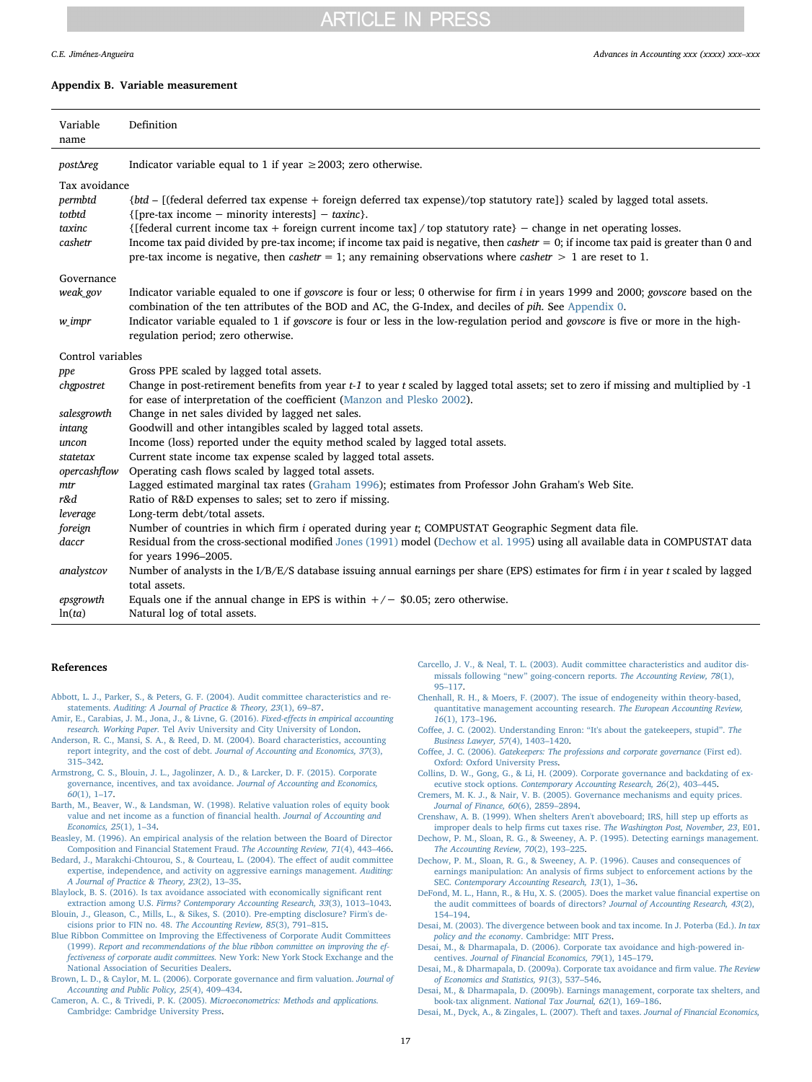## <span id="page-16-16"></span>Appendix B. Variable measurement

| Variable<br>name                                        | Definition                                                                                                                                                                                                                                                                                                                                                                                                                                                                                                                                                                          |
|---------------------------------------------------------|-------------------------------------------------------------------------------------------------------------------------------------------------------------------------------------------------------------------------------------------------------------------------------------------------------------------------------------------------------------------------------------------------------------------------------------------------------------------------------------------------------------------------------------------------------------------------------------|
| post∆reg                                                | Indicator variable equal to 1 if year $\geq$ 2003; zero otherwise.                                                                                                                                                                                                                                                                                                                                                                                                                                                                                                                  |
| Tax avoidance<br>permbtd<br>totbtd<br>taxinc<br>cashetr | {btd - [(federal deferred tax expense + foreign deferred tax expense)/top statutory rate]} scaled by lagged total assets.<br>{[pre-tax income - minority interests] - $taxinc$ }.<br>{[federal current income tax + foreign current income tax] / top statutory rate} - change in net operating losses.<br>Income tax paid divided by pre-tax income; if income tax paid is negative, then <i>cashetr</i> = 0; if income tax paid is greater than 0 and<br>pre-tax income is negative, then <i>cashetr</i> = 1; any remaining observations where <i>cashetr</i> > 1 are reset to 1. |
| Governance                                              |                                                                                                                                                                                                                                                                                                                                                                                                                                                                                                                                                                                     |
| weak gov                                                | Indicator variable equaled to one if <i>govscore</i> is four or less; 0 otherwise for firm <i>i</i> in years 1999 and 2000; <i>govscore</i> based on the                                                                                                                                                                                                                                                                                                                                                                                                                            |
| w_impr                                                  | combination of the ten attributes of the BOD and AC, the G-Index, and deciles of pih. See Appendix 0.<br>Indicator variable equaled to 1 if govscore is four or less in the low-regulation period and govscore is five or more in the high-<br>regulation period; zero otherwise.                                                                                                                                                                                                                                                                                                   |
| Control variables                                       |                                                                                                                                                                                                                                                                                                                                                                                                                                                                                                                                                                                     |
| ppe                                                     | Gross PPE scaled by lagged total assets.                                                                                                                                                                                                                                                                                                                                                                                                                                                                                                                                            |
| chgpostret                                              | Change in post-retirement benefits from year t-1 to year t scaled by lagged total assets; set to zero if missing and multiplied by -1<br>for ease of interpretation of the coefficient (Manzon and Plesko 2002).                                                                                                                                                                                                                                                                                                                                                                    |
| salesgrowth                                             | Change in net sales divided by lagged net sales.                                                                                                                                                                                                                                                                                                                                                                                                                                                                                                                                    |
| intang                                                  | Goodwill and other intangibles scaled by lagged total assets.                                                                                                                                                                                                                                                                                                                                                                                                                                                                                                                       |
| uncon                                                   | Income (loss) reported under the equity method scaled by lagged total assets.                                                                                                                                                                                                                                                                                                                                                                                                                                                                                                       |
| statetax                                                | Current state income tax expense scaled by lagged total assets.                                                                                                                                                                                                                                                                                                                                                                                                                                                                                                                     |
| opercashflow                                            | Operating cash flows scaled by lagged total assets.                                                                                                                                                                                                                                                                                                                                                                                                                                                                                                                                 |
| mtr                                                     | Lagged estimated marginal tax rates (Graham 1996); estimates from Professor John Graham's Web Site.                                                                                                                                                                                                                                                                                                                                                                                                                                                                                 |
| r&d                                                     | Ratio of R&D expenses to sales; set to zero if missing.                                                                                                                                                                                                                                                                                                                                                                                                                                                                                                                             |
| leverage                                                | Long-term debt/total assets.<br>Number of countries in which firm <i>i</i> operated during year <i>t</i> ; COMPUSTAT Geographic Segment data file.                                                                                                                                                                                                                                                                                                                                                                                                                                  |
| foreign<br>daccr                                        | Residual from the cross-sectional modified Jones (1991) model (Dechow et al. 1995) using all available data in COMPUSTAT data                                                                                                                                                                                                                                                                                                                                                                                                                                                       |
|                                                         | for years 1996-2005.                                                                                                                                                                                                                                                                                                                                                                                                                                                                                                                                                                |
| analystcov                                              | Number of analysts in the I/B/E/S database issuing annual earnings per share (EPS) estimates for firm <i>i</i> in year <i>t</i> scaled by lagged<br>total assets.                                                                                                                                                                                                                                                                                                                                                                                                                   |
| epsgrowth                                               | Equals one if the annual change in EPS is within $+/-$ \$0.05; zero otherwise.                                                                                                                                                                                                                                                                                                                                                                                                                                                                                                      |
| ln(ta)                                                  | Natural log of total assets.                                                                                                                                                                                                                                                                                                                                                                                                                                                                                                                                                        |

## References

- <span id="page-16-24"></span>[Abbott, L. J., Parker, S., & Peters, G. F. \(2004\). Audit committee characteristics and re](http://refhub.elsevier.com/S0882-6110(15)30068-7/rf0005)statements. [Auditing: A Journal of Practice & Theory, 23](http://refhub.elsevier.com/S0882-6110(15)30068-7/rf0005)(1), 69–87.
- <span id="page-16-15"></span>[Amir, E., Carabias, J. M., Jona, J., & Livne, G. \(2016\).](http://refhub.elsevier.com/S0882-6110(15)30068-7/rf0010) Fixed-effects in empirical accounting research. Working Paper. [Tel Aviv University and City University of London.](http://refhub.elsevier.com/S0882-6110(15)30068-7/rf0010)
- <span id="page-16-23"></span>[Anderson, R. C., Mansi, S. A., & Reed, D. M. \(2004\). Board characteristics, accounting](http://refhub.elsevier.com/S0882-6110(15)30068-7/rf0015) report integrity, and the cost of debt. [Journal of Accounting and Economics, 37](http://refhub.elsevier.com/S0882-6110(15)30068-7/rf0015)(3), 315–[342](http://refhub.elsevier.com/S0882-6110(15)30068-7/rf0015).
- <span id="page-16-3"></span>[Armstrong, C. S., Blouin, J. L., Jagolinzer, A. D., & Larcker, D. F. \(2015\). Corporate](http://refhub.elsevier.com/S0882-6110(15)30068-7/rf0020) [governance, incentives, and tax avoidance.](http://refhub.elsevier.com/S0882-6110(15)30068-7/rf0020) Journal of Accounting and Economics, 60[\(1\), 1](http://refhub.elsevier.com/S0882-6110(15)30068-7/rf0020)–17.
- <span id="page-16-17"></span>[Barth, M., Beaver, W., & Landsman, W. \(1998\). Relative valuation roles of equity book](http://refhub.elsevier.com/S0882-6110(15)30068-7/rf0025) [value and net income as a function of](http://refhub.elsevier.com/S0882-6110(15)30068-7/rf0025) financial health. Journal of Accounting and [Economics, 25](http://refhub.elsevier.com/S0882-6110(15)30068-7/rf0025)(1), 1–34.
- <span id="page-16-20"></span>[Beasley, M. \(1996\). An empirical analysis of the relation between the Board of Director](http://refhub.elsevier.com/S0882-6110(15)30068-7/rf0030) [Composition and Financial Statement Fraud.](http://refhub.elsevier.com/S0882-6110(15)30068-7/rf0030) The Accounting Review, 71(4), 443–466.
- <span id="page-16-21"></span>[Bedard, J., Marakchi-Chtourou, S., & Courteau, L. \(2004\). The e](http://refhub.elsevier.com/S0882-6110(15)30068-7/rf0035)ffect of audit committee [expertise, independence, and activity on aggressive earnings management.](http://refhub.elsevier.com/S0882-6110(15)30068-7/rf0035) Auditing: [A Journal of Practice & Theory, 23](http://refhub.elsevier.com/S0882-6110(15)30068-7/rf0035)(2), 13–35.
- <span id="page-16-4"></span>[Blaylock, B. S. \(2016\). Is tax avoidance associated with economically signi](http://refhub.elsevier.com/S0882-6110(15)30068-7/rf0040)ficant rent extraction among U.S. [Firms? Contemporary Accounting Research, 33](http://refhub.elsevier.com/S0882-6110(15)30068-7/rf0040)(3), 1013–1043. [Blouin, J., Gleason, C., Mills, L., & Sikes, S. \(2010\). Pre-empting disclosure? Firm's de-](http://refhub.elsevier.com/S0882-6110(15)30068-7/rf0045)
- <span id="page-16-22"></span><span id="page-16-10"></span>[cisions prior to FIN no. 48.](http://refhub.elsevier.com/S0882-6110(15)30068-7/rf0045) The Accounting Review, 85(3), 791–815. [Blue Ribbon Committee on Improving the E](http://refhub.elsevier.com/S0882-6110(15)30068-7/rf0050)ffectiveness of Corporate Audit Committees (1999). [Report and recommendations of the blue ribbon committee on improving the ef](http://refhub.elsevier.com/S0882-6110(15)30068-7/rf0050)fectiveness of corporate audit committees. [New York: New York Stock Exchange and the](http://refhub.elsevier.com/S0882-6110(15)30068-7/rf0050) [National Association of Securities Dealers](http://refhub.elsevier.com/S0882-6110(15)30068-7/rf0050).
- <span id="page-16-5"></span>[Brown, L. D., & Caylor, M. L. \(2006\). Corporate governance and](http://refhub.elsevier.com/S0882-6110(15)30068-7/rf0055) firm valuation. Journal of [Accounting and Public Policy, 25](http://refhub.elsevier.com/S0882-6110(15)30068-7/rf0055)(4), 409–434.
- <span id="page-16-14"></span>Cameron, A. C., & Trivedi, P. K. (2005). [Microeconometrics: Methods and applications.](http://refhub.elsevier.com/S0882-6110(15)30068-7/rf0060) [Cambridge: Cambridge University Press.](http://refhub.elsevier.com/S0882-6110(15)30068-7/rf0060)
- <span id="page-16-25"></span>[Carcello, J. V., & Neal, T. L. \(2003\). Audit committee characteristics and auditor dis](http://refhub.elsevier.com/S0882-6110(15)30068-7/rf0065)missals following "new" going-concern reports. [The Accounting Review, 78](http://refhub.elsevier.com/S0882-6110(15)30068-7/rf0065)(1), 95–[117.](http://refhub.elsevier.com/S0882-6110(15)30068-7/rf0065)
- <span id="page-16-13"></span>Chenhall, [R. H., & Moers, F. \(2007\). The issue of endogeneity within theory-based,](http://refhub.elsevier.com/S0882-6110(15)30068-7/rf0070) [quantitative management accounting research.](http://refhub.elsevier.com/S0882-6110(15)30068-7/rf0070) The European Accounting Review, 16[\(1\), 173](http://refhub.elsevier.com/S0882-6110(15)30068-7/rf0070)–196.
- <span id="page-16-9"></span>Coff[ee, J. C. \(2002\). Understanding Enron:](http://refhub.elsevier.com/S0882-6110(15)30068-7/rf0075) "It's about the gatekeepers, stupid". The [Business Lawyer, 57](http://refhub.elsevier.com/S0882-6110(15)30068-7/rf0075)(4), 1403–1420.
- <span id="page-16-0"></span>Coffee, J. C. (2006). [Gatekeepers: The professions and corporate governance](http://refhub.elsevier.com/S0882-6110(15)30068-7/rf0080) (First ed). [Oxford: Oxford University Press](http://refhub.elsevier.com/S0882-6110(15)30068-7/rf0080).
- <span id="page-16-18"></span>[Collins, D. W., Gong, G., & Li, H. \(2009\). Corporate governance and backdating of ex](http://refhub.elsevier.com/S0882-6110(15)30068-7/rf0085)ecutive stock options. [Contemporary Accounting Research, 26](http://refhub.elsevier.com/S0882-6110(15)30068-7/rf0085)(2), 403–445.
- <span id="page-16-6"></span>[Cremers, M. K. J., & Nair, V. B. \(2005\). Governance mechanisms and equity prices.](http://refhub.elsevier.com/S0882-6110(15)30068-7/rf0090) [Journal of Finance, 60](http://refhub.elsevier.com/S0882-6110(15)30068-7/rf0090)(6), 2859–2894.
- <span id="page-16-8"></span>[Crenshaw, A. B. \(1999\). When shelters Aren't aboveboard; IRS, hill step up e](http://refhub.elsevier.com/S0882-6110(15)30068-7/rf0095)fforts as improper deals to help firms cut taxes rise. [The Washington Post, November, 23](http://refhub.elsevier.com/S0882-6110(15)30068-7/rf0095), E01.
- <span id="page-16-26"></span>[Dechow, P. M., Sloan, R. G., & Sweeney, A. P. \(1995\). Detecting earnings management.](http://refhub.elsevier.com/S0882-6110(15)30068-7/rf0100) [The Accounting Review, 70](http://refhub.elsevier.com/S0882-6110(15)30068-7/rf0100)(2), 193–225.
- <span id="page-16-19"></span>[Dechow, P. M., Sloan, R. G., & Sweeney, A. P. \(1996\). Causes and consequences of](http://refhub.elsevier.com/S0882-6110(15)30068-7/rf0105) earnings manipulation: An analysis of fi[rms subject to enforcement actions by the](http://refhub.elsevier.com/S0882-6110(15)30068-7/rf0105) SEC. [Contemporary Accounting Research, 13](http://refhub.elsevier.com/S0882-6110(15)30068-7/rf0105)(1), 1–36.
- <span id="page-16-12"></span>[DeFond, M. L., Hann, R., & Hu, X. S. \(2005\). Does the market value](http://refhub.elsevier.com/S0882-6110(15)30068-7/rf0110) financial expertise on [the audit committees of boards of directors?](http://refhub.elsevier.com/S0882-6110(15)30068-7/rf0110) Journal of Accounting Research, 43(2), 154–[194](http://refhub.elsevier.com/S0882-6110(15)30068-7/rf0110).
- <span id="page-16-7"></span>[Desai, M. \(2003\). The divergence between book and tax income. In J. Poterba \(Ed.\).](http://refhub.elsevier.com/S0882-6110(15)30068-7/rf0115) In tax policy and the economy[. Cambridge: MIT Press.](http://refhub.elsevier.com/S0882-6110(15)30068-7/rf0115)
- <span id="page-16-1"></span>[Desai, M., & Dharmapala, D. \(2006\). Corporate tax avoidance and high-powered in](http://refhub.elsevier.com/S0882-6110(15)30068-7/rf0120)centives. [Journal of Financial Economics, 79](http://refhub.elsevier.com/S0882-6110(15)30068-7/rf0120)(1), 145–179.
- <span id="page-16-11"></span>[Desai, M., & Dharmapala, D. \(2009a\). Corporate tax avoidance and](http://refhub.elsevier.com/S0882-6110(15)30068-7/rf0125) firm value. The Review [of Economics and Statistics, 91](http://refhub.elsevier.com/S0882-6110(15)30068-7/rf0125)(3), 537–546.
- Desai, [M., & Dharmapala, D. \(2009b\). Earnings management, corporate tax shelters, and](http://refhub.elsevier.com/S0882-6110(15)30068-7/rf0130) book-tax alignment. [National Tax Journal, 62](http://refhub.elsevier.com/S0882-6110(15)30068-7/rf0130)(1), 169–186.
- <span id="page-16-2"></span>[Desai, M., Dyck, A., & Zingales, L. \(2007\). Theft and taxes.](http://refhub.elsevier.com/S0882-6110(15)30068-7/rf0135) Journal of Financial Economics,